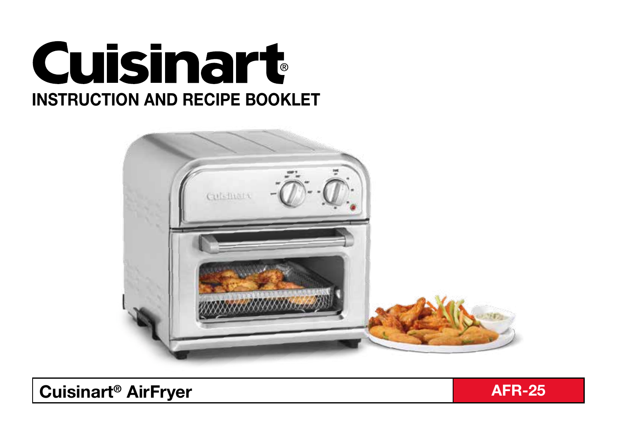



**Cuisinart<sup>®</sup> AirFryer And Afraction Afraction Afraction Afraction Afraction Afraction Afraction Afraction Afraction** 

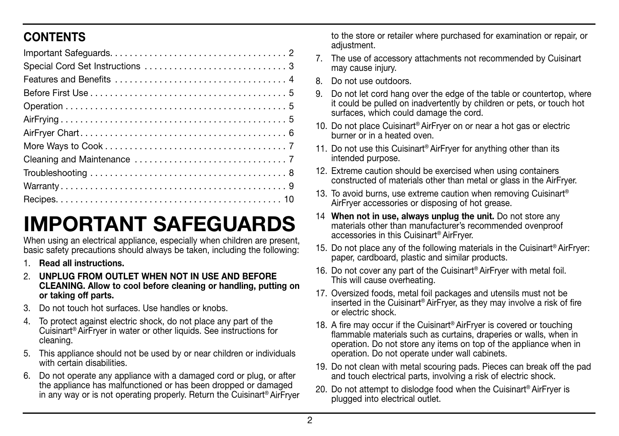## **CONTENTS**

# IMPORTANT SAFEGUARDS

When using an electrical appliance, especially when children are present, basic safety precautions should always be taken, including the following:

- 1. Read all instructions.
- 2. UNPLUG FROM OUTLET WHEN NOT IN USE AND BEFORE CLEANING. Allow to cool before cleaning or handling, putting on or taking off parts.
- 3. Do not touch hot surfaces. Use handles or knobs.
- 4. To protect against electric shock, do not place any part of the Cuisinart® AirFryer in water or other liquids. See instructions for cleaning.
- 5. This appliance should not be used by or near children or individuals with certain disabilities.
- 6. Do not operate any appliance with a damaged cord or plug, or after the appliance has malfunctioned or has been dropped or damaged in any way or is not operating properly. Return the Cuisinart® AirFryer

to the store or retailer where purchased for examination or repair, or adiustment.

- 7. The use of accessory attachments not recommended by Cuisinart may cause injury.
- 8. Do not use outdoors.
- 9. Do not let cord hang over the edge of the table or countertop, where it could be pulled on inadvertently by children or pets, or touch hot surfaces, which could damage the cord.
- 10. Do not place Cuisinart<sup>®</sup> AirFryer on or near a hot gas or electric burner or in a heated oven.
- 11. Do not use this Cuisinart<sup>®</sup> AirFryer for anything other than its intended purpose.
- 12. Extreme caution should be exercised when using containers constructed of materials other than metal or glass in the AirFryer.
- 13. To avoid burns, use extreme caution when removing Cuisinart® AirFryer accessories or disposing of hot grease.
- 14 When not in use, always unplug the unit. Do not store any materials other than manufacturer's recommended ovenproof accessories in this Cuisinart® AirFryer.
- 15. Do not place any of the following materials in the Cuisinart® AirFryer: paper, cardboard, plastic and similar products.
- 16. Do not cover any part of the Cuisinart® AirFryer with metal foil. This will cause overheating.
- 17. Oversized foods, metal foil packages and utensils must not be inserted in the Cuisinart® AirFryer, as they may involve a risk of fire or electric shock.
- 18. A fire may occur if the Cuisinart® AirFryer is covered or touching flammable materials such as curtains, draperies or walls, when in operation. Do not store any items on top of the appliance when in operation. Do not operate under wall cabinets.
- 19. Do not clean with metal scouring pads. Pieces can break off the pad and touch electrical parts, involving a risk of electric shock.
- 20. Do not attempt to dislodge food when the Cuisinart<sup>®</sup> AirFryer is plugged into electrical outlet.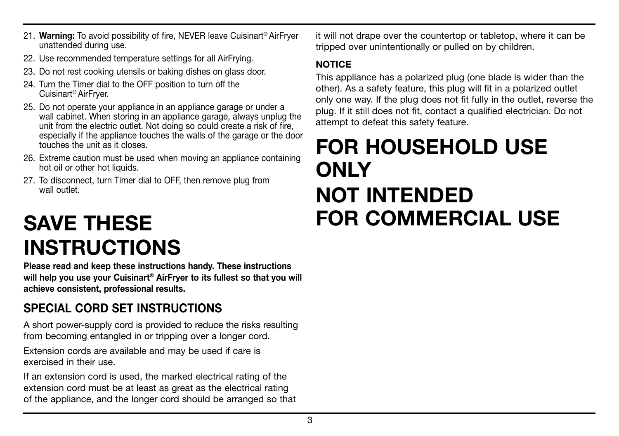- 21. Warning: To avoid possibility of fire, NEVER leave Cuisinart<sup>®</sup> AirFryer unattended during use.
- 22. Use recommended temperature settings for all AirFrying.
- 23. Do not rest cooking utensils or baking dishes on glass door.
- 24. Turn the Timer dial to the OFF position to turn off the Cuisinart® AirFryer.
- 25. Do not operate your appliance in an appliance garage or under a wall cabinet. When storing in an appliance garage, always unplug the unit from the electric outlet. Not doing so could create a risk of fire, especially if the appliance touches the walls of the garage or the door touches the unit as it closes.
- 26. Extreme caution must be used when moving an appliance containing hot oil or other hot liquids.
- 27. To disconnect, turn Timer dial to OFF, then remove plug from wall outlet

# SAVE THESE INSTRUCTIONS

Please read and keep these instructions handy. These instructions will help you use your Cuisinart<sup>®</sup> AirFryer to its fullest so that you will achieve consistent, professional results.

## SPECIAL CORD SET INSTRUCTIONS

A short power-supply cord is provided to reduce the risks resulting from becoming entangled in or tripping over a longer cord.

Extension cords are available and may be used if care is exercised in their use.

If an extension cord is used, the marked electrical rating of the extension cord must be at least as great as the electrical rating of the appliance, and the longer cord should be arranged so that it will not drape over the countertop or tabletop, where it can be tripped over unintentionally or pulled on by children.

#### **NOTICE**

This appliance has a polarized plug (one blade is wider than the other). As a safety feature, this plug will fit in a polarized outlet only one way. If the plug does not fit fully in the outlet, reverse the plug. If it still does not fit, contact a qualified electrician. Do not attempt to defeat this safety feature.

# FOR HOUSEHOLD USE **ONLY** NOT INTENDED FOR COMMERCIAL USE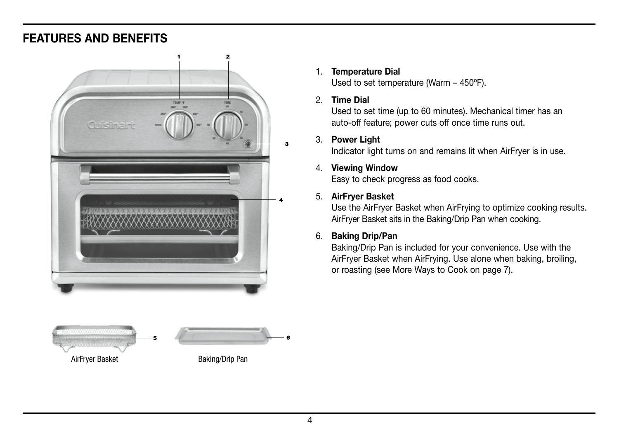### FEATURES AND BENEFITS





#### 1. Temperature Dial

Used to set temperature (Warm – 450ºF).

#### 2. Time Dial

Used to set time (up to 60 minutes). Mechanical timer has an auto-off feature; power cuts off once time runs out.

#### 3. Power Light

Indicator light turns on and remains lit when AirFryer is in use.

#### 4. Viewing Window

Easy to check progress as food cooks.

#### 5. AirFryer Basket

Use the AirFryer Basket when AirFrying to optimize cooking results. AirFryer Basket sits in the Baking/Drip Pan when cooking.

#### 6. Baking Drip/Pan

Baking/Drip Pan is included for your convenience. Use with the AirFryer Basket when AirFrying. Use alone when baking, broiling, or roasting (see More Ways to Cook on page 7).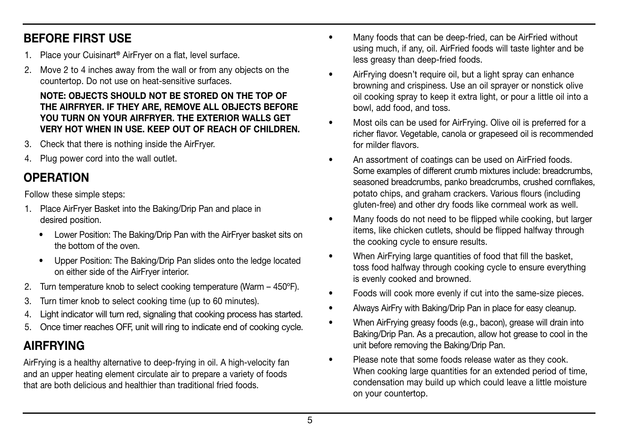## BEFORE FIRST USE

- Place your Cuisinart<sup>®</sup> AirFryer on a flat, level surface.
- 2. Move 2 to 4 inches away from the wall or from any objects on the countertop. Do not use on heat-sensitive surfaces.

#### NOTE: OBJECTS SHOULD NOT BE STORED ON THE TOP OF THE AIRFRYER. IF THEY ARE, REMOVE ALL OBJECTS BEFORE YOU TURN ON YOUR AIRFRYER. THE EXTERIOR WALLS GET VERY HOT WHEN IN USE. KEEP OUT OF REACH OF CHILDREN.

- 3. Check that there is nothing inside the AirFryer.
- 4. Plug power cord into the wall outlet.

## **OPERATION**

Follow these simple steps:

- 1. Place AirFryer Basket into the Baking/Drip Pan and place in desired position.
	- Lower Position: The Baking/Drip Pan with the AirFryer basket sits on the bottom of the oven.
	- Upper Position: The Baking/Drip Pan slides onto the ledge located on either side of the AirFryer interior.
- 2. Turn temperature knob to select cooking temperature (Warm 450ºF).
- 3. Turn timer knob to select cooking time (up to 60 minutes).
- 4. Light indicator will turn red, signaling that cooking process has started.
- 5. Once timer reaches OFF, unit will ring to indicate end of cooking cycle.

## AIRFRYING

AirFrying is a healthy alternative to deep-frying in oil. A high-velocity fan and an upper heating element circulate air to prepare a variety of foods that are both delicious and healthier than traditional fried foods.

- Many foods that can be deep-fried, can be AirFried without using much, if any, oil. AirFried foods will taste lighter and be less greasy than deep-fried foods.
- AirFrying doesn't require oil, but a light spray can enhance browning and crispiness. Use an oil sprayer or nonstick olive oil cooking spray to keep it extra light, or pour a little oil into a bowl, add food, and toss.
- Most oils can be used for AirFrying. Olive oil is preferred for a richer flavor. Vegetable, canola or grapeseed oil is recommended for milder flavors.
- An assortment of coatings can be used on AirFried foods. Some examples of different crumb mixtures include: breadcrumbs, seasoned breadcrumbs, panko breadcrumbs, crushed cornflakes, potato chips, and graham crackers. Various flours (including gluten-free) and other dry foods like cornmeal work as well.
- Many foods do not need to be flipped while cooking, but larger items, like chicken cutlets, should be flipped halfway through the cooking cycle to ensure results.
- When AirFrying large quantities of food that fill the basket, toss food halfway through cooking cycle to ensure everything is evenly cooked and browned.
- Foods will cook more evenly if cut into the same-size pieces.
- Always AirFry with Baking/Drip Pan in place for easy cleanup.
- When AirFrying greasy foods (e.g., bacon), grease will drain into Baking/Drip Pan. As a precaution, allow hot grease to cool in the unit before removing the Baking/Drip Pan.
- Please note that some foods release water as they cook. When cooking large quantities for an extended period of time, condensation may build up which could leave a little moisture on your countertop.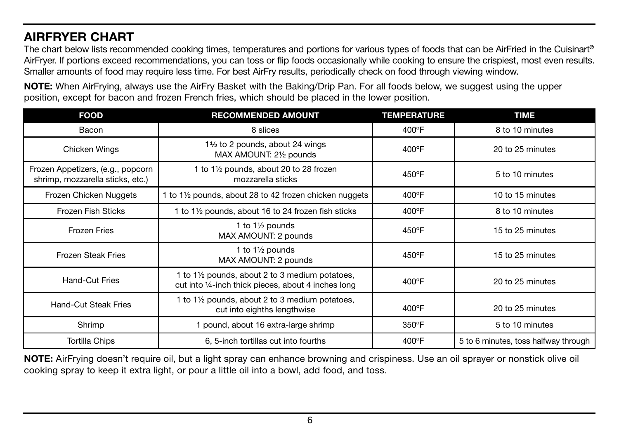## AIRFRYER CHART

The chart below lists recommended cooking times, temperatures and portions for various types of foods that can be AirFried in the Cuisinart® AirFryer. If portions exceed recommendations, you can toss or flip foods occasionally while cooking to ensure the crispiest, most even results. Smaller amounts of food may require less time. For best AirFry results, periodically check on food through viewing window.

NOTE: When AirFrying, always use the AirFry Basket with the Baking/Drip Pan. For all foods below, we suggest using the upper position, except for bacon and frozen French fries, which should be placed in the lower position.

| <b>FOOD</b>                                                           | <b>RECOMMENDED AMOUNT</b>                                                                               | <b>TEMPERATURE</b> | <b>TIME</b>                          |
|-----------------------------------------------------------------------|---------------------------------------------------------------------------------------------------------|--------------------|--------------------------------------|
| Bacon                                                                 | 8 slices                                                                                                | 400°F              | 8 to 10 minutes                      |
| Chicken Wings                                                         | 1 <sup>1</sup> / <sub>2</sub> to 2 pounds, about 24 wings<br>MAX AMOUNT: 21/2 pounds                    | $400^{\circ}$ F    | 20 to 25 minutes                     |
| Frozen Appetizers, (e.g., popcorn<br>shrimp, mozzarella sticks, etc.) | 1 to 1 <sup>1</sup> / <sub>2</sub> pounds, about 20 to 28 frozen<br>mozzarella sticks                   | 450°F              | 5 to 10 minutes                      |
| Frozen Chicken Nuggets                                                | to 1½ pounds, about 28 to 42 frozen chicken nuggets                                                     | 400°F              | 10 to 15 minutes                     |
| Frozen Fish Sticks                                                    | 1 to 11/2 pounds, about 16 to 24 frozen fish sticks                                                     | 400°F              | 8 to 10 minutes                      |
| <b>Frozen Fries</b>                                                   | 1 to 11/2 pounds<br>MAX AMOUNT: 2 pounds                                                                | 450°F              | 15 to 25 minutes                     |
| <b>Frozen Steak Fries</b>                                             | 1 to $1\frac{1}{2}$ pounds<br>MAX AMOUNT: 2 pounds                                                      | 450°F              | 15 to 25 minutes                     |
| <b>Hand-Cut Fries</b>                                                 | 1 to 1½ pounds, about 2 to 3 medium potatoes,<br>cut into 1/4-inch thick pieces, about 4 inches long    | 400°F              | 20 to 25 minutes                     |
| Hand-Cut Steak Fries                                                  | 1 to 1 <sup>1</sup> / <sub>2</sub> pounds, about 2 to 3 medium potatoes,<br>cut into eighths lengthwise | 400°F              | 20 to 25 minutes                     |
| Shrimp                                                                | 1 pound, about 16 extra-large shrimp                                                                    | 350°F              | 5 to 10 minutes                      |
| <b>Tortilla Chips</b>                                                 | 6, 5-inch tortillas cut into fourths                                                                    | 400°F              | 5 to 6 minutes, toss halfway through |

NOTE: AirFrying doesn't require oil, but a light spray can enhance browning and crispiness. Use an oil sprayer or nonstick olive oil cooking spray to keep it extra light, or pour a little oil into a bowl, add food, and toss.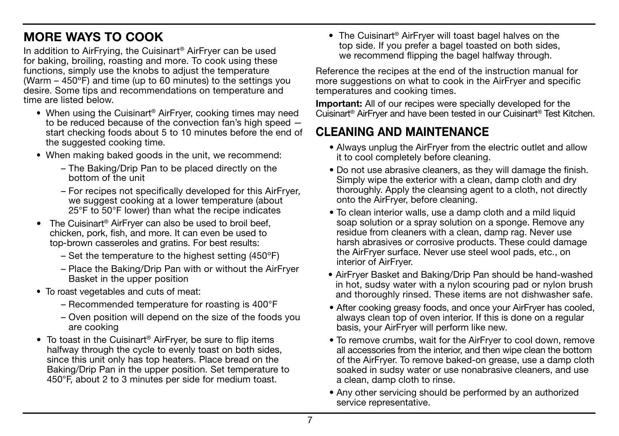## MORE WAYS TO COOK

In addition to AirFrying, the Cuisinart® AirFryer can be used for baking, broiling, roasting and more. To cook using these functions, simply use the knobs to adjust the temperature (Warm  $-$  450 $\degree$ F) and time (up to 60 minutes) to the settings you desire. Some tips and recommendations on temperature and time are listed below.

- When using the Cuisinart<sup>®</sup> AirFrver, cooking times may need to be reduced because of the convection fan's high speed start checking foods about 5 to 10 minutes before the end of the suggested cooking time.
- When making baked goods in the unit, we recommend:
	- The Baking/Drip Pan to be placed directly on the bottom of the unit
	- For recipes not specifically developed for this AirFryer, we suggest cooking at a lower temperature (about 25°F to 50°F lower) than what the recipe indicates
- The Cuisinart<sup>®</sup> AirFryer can also be used to broil beef, chicken, pork, fish, and more. It can even be used to top-brown casseroles and gratins. For best results:
	- Set the temperature to the highest setting (450ºF)
	- Place the Baking/Drip Pan with or without the AirFryer Basket in the upper position
- To roast vegetables and cuts of meat:
	- Recommended temperature for roasting is 400°F
	- Oven position will depend on the size of the foods you are cooking
- To toast in the Cuisinart<sup>®</sup> AirFrver, be sure to flip items halfway through the cycle to evenly toast on both sides, since this unit only has top heaters. Place bread on the Baking/Drip Pan in the upper position. Set temperature to 450°F, about 2 to 3 minutes per side for medium toast.

• The Cuisinart<sup>®</sup> AirFryer will toast bagel halves on the top side. If you prefer a bagel toasted on both sides, we recommend flipping the bagel halfway through.

Reference the recipes at the end of the instruction manual for more suggestions on what to cook in the AirFryer and specific temperatures and cooking times.

Important: All of our recipes were specially developed for the Cuisinart® AirFryer and have been tested in our Cuisinart® Test Kitchen.

## CLEANING AND MAINTENANCE

- Always unplug the AirFryer from the electric outlet and allow it to cool completely before cleaning.
- Do not use abrasive cleaners, as they will damage the finish. Simply wipe the exterior with a clean, damp cloth and dry thoroughly. Apply the cleansing agent to a cloth, not directly onto the AirFryer, before cleaning.
- To clean interior walls, use a damp cloth and a mild liquid soap solution or a spray solution on a sponge. Remove any residue from cleaners with a clean, damp rag. Never use harsh abrasives or corrosive products. These could damage the AirFryer surface. Never use steel wool pads, etc., on interior of AirFryer.
- AirFryer Basket and Baking/Drip Pan should be hand-washed in hot, sudsy water with a nylon scouring pad or nylon brush and thoroughly rinsed. These items are not dishwasher safe.
- After cooking greasy foods, and once your AirFryer has cooled, always clean top of oven interior. If this is done on a regular basis, your AirFryer will perform like new.
- To remove crumbs, wait for the AirFryer to cool down, remove all accessories from the interior, and then wipe clean the bottom of the AirFryer. To remove baked-on grease, use a damp cloth soaked in sudsy water or use nonabrasive cleaners, and use a clean, damp cloth to rinse.
- Any other servicing should be performed by an authorized service representative.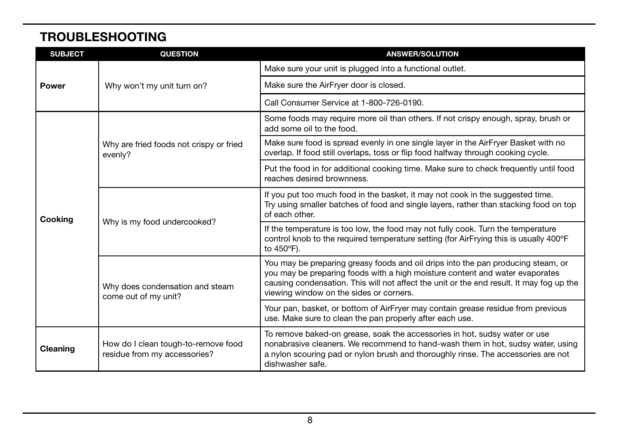## TROUBLESHOOTING

| <b>SUBJECT</b> | <b>QUESTION</b>                                                     | <b>ANSWER/SOLUTION</b>                                                                                                                                                                                                                                                                                  |
|----------------|---------------------------------------------------------------------|---------------------------------------------------------------------------------------------------------------------------------------------------------------------------------------------------------------------------------------------------------------------------------------------------------|
|                |                                                                     | Make sure your unit is plugged into a functional outlet.                                                                                                                                                                                                                                                |
| <b>Power</b>   | Why won't my unit turn on?                                          | Make sure the AirFryer door is closed.                                                                                                                                                                                                                                                                  |
|                |                                                                     | Call Consumer Service at 1-800-726-0190.                                                                                                                                                                                                                                                                |
|                | Why are fried foods not crispy or fried<br>evenly?                  | Some foods may require more oil than others. If not crispy enough, spray, brush or<br>add some oil to the food.                                                                                                                                                                                         |
|                |                                                                     | Make sure food is spread evenly in one single layer in the AirFryer Basket with no<br>overlap. If food still overlaps, toss or flip food halfway through cooking cycle.                                                                                                                                 |
| Cooking        |                                                                     | Put the food in for additional cooking time. Make sure to check frequently until food<br>reaches desired brownness.                                                                                                                                                                                     |
|                | Why is my food undercooked?                                         | If you put too much food in the basket, it may not cook in the suggested time.<br>Try using smaller batches of food and single layers, rather than stacking food on top<br>of each other.                                                                                                               |
|                |                                                                     | If the temperature is too low, the food may not fully cook. Turn the temperature<br>control knob to the required temperature setting (for AirFrying this is usually 400°F)<br>to 450°F).                                                                                                                |
|                | Why does condensation and steam<br>come out of my unit?             | You may be preparing greasy foods and oil drips into the pan producing steam, or<br>you may be preparing foods with a high moisture content and water evaporates<br>causing condensation. This will not affect the unit or the end result. It may fog up the<br>viewing window on the sides or corners. |
|                |                                                                     | Your pan, basket, or bottom of AirFryer may contain grease residue from previous<br>use. Make sure to clean the pan properly after each use.                                                                                                                                                            |
| Cleaning       | How do I clean tough-to-remove food<br>residue from my accessories? | To remove baked-on grease, soak the accessories in hot, sudsy water or use<br>nonabrasive cleaners. We recommend to hand-wash them in hot, sudsy water, using<br>a nylon scouring pad or nylon brush and thoroughly rinse. The accessories are not<br>dishwasher safe.                                  |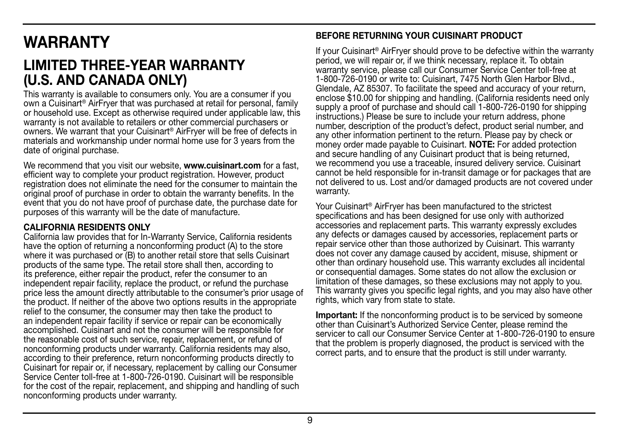## WARRANTY

## LIMITED THREE-YEAR WARRANTY (U.S. AND CANADA ONLY)

This warranty is available to consumers only. You are a consumer if you own a Cuisinart® AirFryer that was purchased at retail for personal, family or household use. Except as otherwise required under applicable law, this warranty is not available to retailers or other commercial purchasers or owners. We warrant that your Cuisinart® AirFryer will be free of defects in materials and workmanship under normal home use for 3 years from the date of original purchase.

We recommend that you visit our website, **www.cuisinart.com** for a fast, efficient way to complete your product registration. However, product registration does not eliminate the need for the consumer to maintain the original proof of purchase in order to obtain the warranty benefits. In the event that you do not have proof of purchase date, the purchase date for purposes of this warranty will be the date of manufacture.

#### CALIFORNIA RESIDENTS ONLY

California law provides that for In-Warranty Service, California residents have the option of returning a nonconforming product (A) to the store where it was purchased or (B) to another retail store that sells Cuisinart products of the same type. The retail store shall then, according to its preference, either repair the product, refer the consumer to an independent repair facility, replace the product, or refund the purchase price less the amount directly attributable to the consumer's prior usage of the product. If neither of the above two options results in the appropriate relief to the consumer, the consumer may then take the product to an independent repair facility if service or repair can be economically accomplished. Cuisinart and not the consumer will be responsible for the reasonable cost of such service, repair, replacement, or refund of nonconforming products under warranty. California residents may also, according to their preference, return nonconforming products directly to Cuisinart for repair or, if necessary, replacement by calling our Consumer Service Center toll-free at 1-800-726-0190. Cuisinart will be responsible for the cost of the repair, replacement, and shipping and handling of such nonconforming products under warranty.

#### BEFORE RETURNING YOUR CUISINART PRODUCT

If your Cuisinart® AirFryer should prove to be defective within the warranty period, we will repair or, if we think necessary, replace it. To obtain warranty service, please call our Consumer Service Center toll-free at 1-800-726-0190 or write to: Cuisinart, 7475 North Glen Harbor Blvd., Glendale, AZ 85307. To facilitate the speed and accuracy of your return, enclose \$10.00 for shipping and handling. (California residents need only supply a proof of purchase and should call 1-800-726-0190 for shipping instructions.) Please be sure to include your return address, phone number, description of the product's defect, product serial number, and any other information pertinent to the return. Please pay by check or money order made payable to Cuisinart. NOTE: For added protection and secure handling of any Cuisinart product that is being returned, we recommend you use a traceable, insured delivery service. Cuisinart cannot be held responsible for in-transit damage or for packages that are not delivered to us. Lost and/or damaged products are not covered under warranty.

Your Cuisinart® AirFryer has been manufactured to the strictest specifications and has been designed for use only with authorized accessories and replacement parts. This warranty expressly excludes any defects or damages caused by accessories, replacement parts or repair service other than those authorized by Cuisinart. This warranty does not cover any damage caused by accident, misuse, shipment or other than ordinary household use. This warranty excludes all incidental or consequential damages. Some states do not allow the exclusion or limitation of these damages, so these exclusions may not apply to you. This warranty gives you specific legal rights, and you may also have other rights, which vary from state to state.

Important: If the nonconforming product is to be serviced by someone other than Cuisinart's Authorized Service Center, please remind the servicer to call our Consumer Service Center at 1-800-726-0190 to ensure that the problem is properly diagnosed, the product is serviced with the correct parts, and to ensure that the product is still under warranty.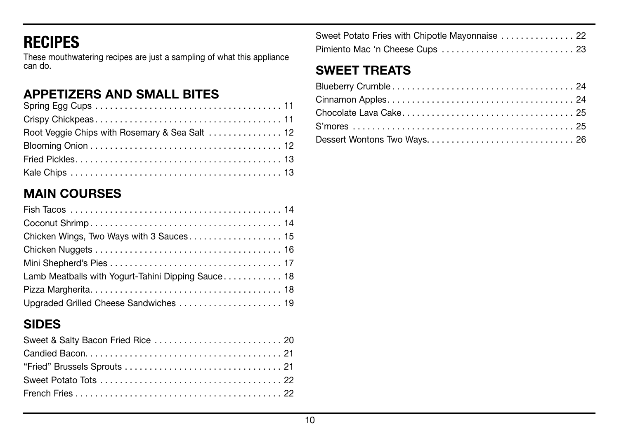## RECIPES

These mouthwatering recipes are just a sampling of what this appliance can do.

## APPETIZERS AND SMALL BITES

## MAIN COURSES

| Lamb Meatballs with Yogurt-Tahini Dipping Sauce 18 |
|----------------------------------------------------|
|                                                    |
| Upgraded Grilled Cheese Sandwiches  19             |

## SIDES

| Sweet Potato Fries with Chipotle Mayonnaise  22 |  |
|-------------------------------------------------|--|
|                                                 |  |

## SWEET TREATS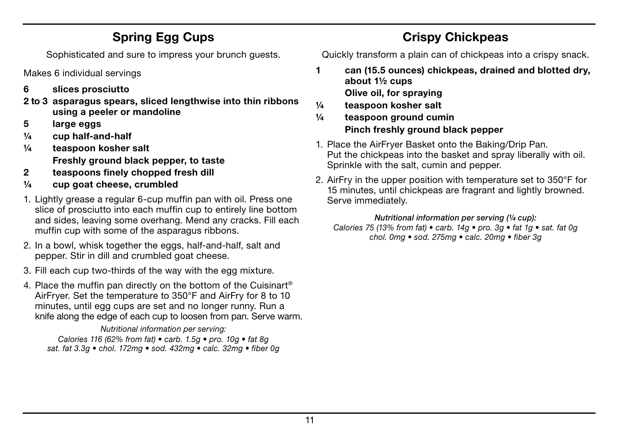## Spring Egg Cups

Sophisticated and sure to impress your brunch guests.

Makes 6 individual servings

- 6 slices prosciutto
- 2 to 3 asparagus spears, sliced lengthwise into thin ribbons using a peeler or mandoline
- 5 large eggs
- $\frac{1}{4}$  cup half-and-half
- ¼ teaspoon kosher salt Freshly ground black pepper, to taste
- 2 teaspoons finely chopped fresh dill
- $\frac{1}{4}$  cup goat cheese, crumbled
- 1. Lightly grease a regular 6-cup muffin pan with oil. Press one slice of prosciutto into each muffin cup to entirely line bottom and sides, leaving some overhang. Mend any cracks. Fill each muffin cup with some of the asparagus ribbons.
- 2. In a bowl, whisk together the eggs, half-and-half, salt and pepper. Stir in dill and crumbled goat cheese.
- 3. Fill each cup two-thirds of the way with the egg mixture.
- 4. Place the muffin pan directly on the bottom of the Cuisinart® AirFryer. Set the temperature to 350°F and AirFry for 8 to 10 minutes, until egg cups are set and no longer runny. Run a knife along the edge of each cup to loosen from pan. Serve warm.

*Nutritional information per serving:*

*Calories 116 (62% from fat) • carb. 1.5g • pro. 10g • fat 8g sat. fat 3.3g • chol. 172mg • sod. 432mg • calc. 32mg • fiber 0g*

## Crispy Chickpeas

Quickly transform a plain can of chickpeas into a crispy snack.

- 1 can (15.5 ounces) chickpeas, drained and blotted dry, about 1½ cups Olive oil, for spraying
- ¼ teaspoon kosher salt
- ¼ teaspoon ground cumin Pinch freshly ground black pepper
- 1. Place the AirFryer Basket onto the Baking/Drip Pan. Put the chickpeas into the basket and spray liberally with oil. Sprinkle with the salt, cumin and pepper.
- 2. AirFry in the upper position with temperature set to 350°F for 15 minutes, until chickpeas are fragrant and lightly browned. Serve immediately.

#### *Nutritional information per serving (¼ cup):*

*Calories 75 (13% from fat) • carb. 14g • pro. 3g • fat 1g • sat. fat 0g chol. 0mg • sod. 275mg • calc. 20mg • fiber 3g*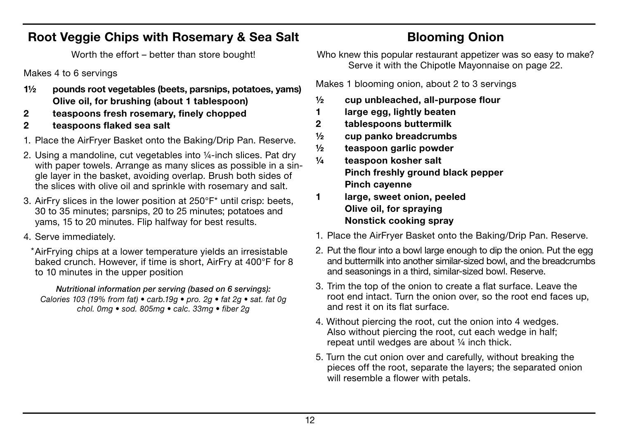### Root Veggie Chips with Rosemary & Sea Salt

Worth the effort – better than store bought!

Makes 4 to 6 servings

- 1½ pounds root vegetables (beets, parsnips, potatoes, yams) Olive oil, for brushing (about 1 tablespoon)
- 2 teaspoons fresh rosemary, finely chopped
- 2 teaspoons flaked sea salt
- 1. Place the AirFryer Basket onto the Baking/Drip Pan. Reserve.
- 2. Using a mandoline, cut vegetables into ¼-inch slices. Pat dry with paper towels. Arrange as many slices as possible in a single layer in the basket, avoiding overlap. Brush both sides of the slices with olive oil and sprinkle with rosemary and salt.
- 3. AirFry slices in the lower position at 250°F\* until crisp: beets, 30 to 35 minutes; parsnips, 20 to 25 minutes; potatoes and yams, 15 to 20 minutes. Flip halfway for best results.
- 4. Serve immediately.

AirFrying chips at a lower temperature yields an irresistable \*baked crunch. However, if time is short, AirFry at 400°F for 8 to 10 minutes in the upper position

*Nutritional information per serving (based on 6 servings): Calories 103 (19% from fat) • carb.19g • pro. 2g • fat 2g • sat. fat 0g chol. 0mg • sod. 805mg • calc. 33mg • fiber 2g*

## Blooming Onion

Who knew this popular restaurant appetizer was so easy to make? Serve it with the Chipotle Mayonnaise on page 22.

Makes 1 blooming onion, about 2 to 3 servings

- $\frac{1}{2}$  cup unbleached, all-purpose flour
- 1 large egg, lightly beaten
- 2 tablespoons buttermilk
- ½ cup panko breadcrumbs
- ½ teaspoon garlic powder
- ¼ teaspoon kosher salt Pinch freshly ground black pepper Pinch cayenne
- 1 large, sweet onion, peeled Olive oil, for spraying Nonstick cooking spray
- 1. Place the AirFryer Basket onto the Baking/Drip Pan. Reserve.
- 2. Put the flour into a bowl large enough to dip the onion. Put the egg and buttermilk into another similar-sized bowl, and the breadcrumbs and seasonings in a third, similar-sized bowl. Reserve.
- 3. Trim the top of the onion to create a flat surface. Leave the root end intact. Turn the onion over, so the root end faces up, and rest it on its flat surface.
- 4. Without piercing the root, cut the onion into 4 wedges. Also without piercing the root, cut each wedge in half; repeat until wedges are about ¼ inch thick.
- 5. Turn the cut onion over and carefully, without breaking the pieces off the root, separate the layers; the separated onion will resemble a flower with petals.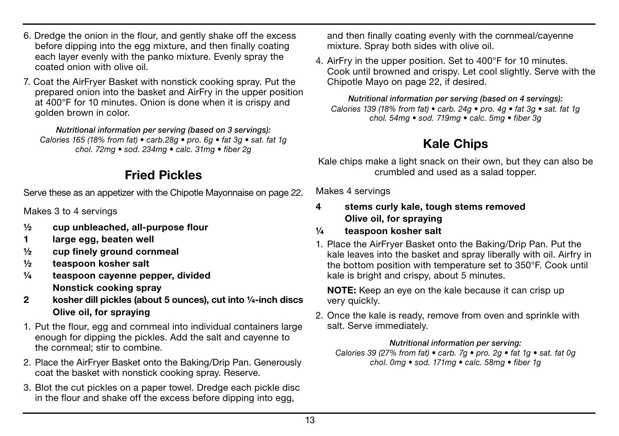- 6. Dredge the onion in the flour, and gently shake off the excess before dipping into the egg mixture, and then finally coating each layer evenly with the panko mixture. Evenly spray the coated onion with olive oil.
- 7. Coat the AirFryer Basket with nonstick cooking spray. Put the prepared onion into the basket and AirFry in the upper position at 400°F for 10 minutes. Onion is done when it is crispy and golden brown in color.

*Nutritional information per serving (based on 3 servings): Calories 165 (18% from fat) • carb.28g • pro. 6g • fat 3g • sat. fat 1g chol. 72mg • sod. 234mg • calc. 31mg • fiber 2g*

## Fried Pickles

Serve these as an appetizer with the Chipotle Mayonnaise on page 22.

Makes 3 to 4 servings

- ½ cup unbleached, all-purpose flour
- 1 large egg, beaten well
- ½ cup finely ground cornmeal
- ½ teaspoon kosher salt
- ¼ teaspoon cayenne pepper, divided Nonstick cooking spray
- 2 kosher dill pickles (about 5 ounces), cut into ¼-inch discs Olive oil, for spraying
- 1. Put the flour, egg and cornmeal into individual containers large enough for dipping the pickles. Add the salt and cayenne to the cornmeal; stir to combine.
- 2. Place the AirFryer Basket onto the Baking/Drip Pan. Generously coat the basket with nonstick cooking spray. Reserve.
- 3. Blot the cut pickles on a paper towel. Dredge each pickle disc in the flour and shake off the excess before dipping into egg,

and then finally coating evenly with the cornmeal/cayenne mixture. Spray both sides with olive oil.

4. AirFry in the upper position. Set to 400°F for 10 minutes. Cook until browned and crispy. Let cool slightly. Serve with the Chipotle Mayo on page 22, if desired.

*Nutritional information per serving (based on 4 servings): Calories 139 (18% from fat) • carb. 24g • pro. 4g • fat 3g • sat. fat 1g chol. 54mg • sod. 719mg • calc. 5mg • fiber 3g*

## Kale Chips

Kale chips make a light snack on their own, but they can also be crumbled and used as a salad topper.

Makes 4 servings

- 4 stems curly kale, tough stems removed Olive oil, for spraying
- ¼ teaspoon kosher salt
- 1. Place the AirFryer Basket onto the Baking/Drip Pan. Put the kale leaves into the basket and spray liberally with oil. Airfry in the bottom position with temperature set to 350°F. Cook until kale is bright and crispy, about 5 minutes.

NOTE: Keep an eye on the kale because it can crisp up very quickly.

2. Once the kale is ready, remove from oven and sprinkle with salt. Serve immediately.

#### *Nutritional information per serving:*

*Calories 39 (27% from fat) • carb. 7g • pro. 2g • fat 1g • sat. fat 0g chol. 0mg • sod. 171mg • calc. 58mg • fiber 1g*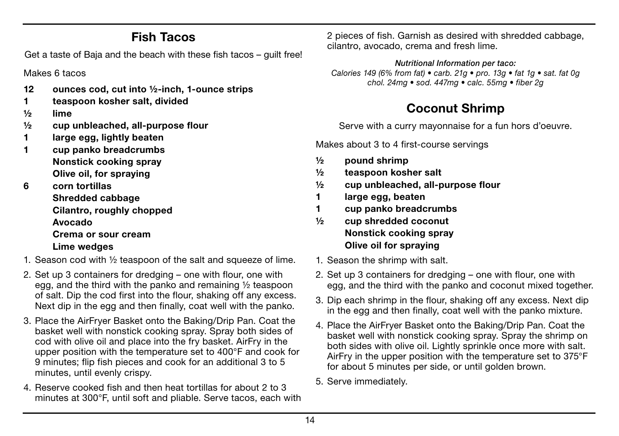## Fish Tacos

Get a taste of Baja and the beach with these fish tacos – guilt free!

Makes 6 tacos

- 12 ounces cod, cut into ½-inch, 1-ounce strips
- 1 teaspoon kosher salt, divided
- ½ lime
- ½ cup unbleached, all-purpose flour
- 1 large egg, lightly beaten
- 1 cup panko breadcrumbs Nonstick cooking spray Olive oil, for spraying
- 6 corn tortillas Shredded cabbage Cilantro, roughly chopped Avocado Crema or sour cream Lime wedges
- 1. Season cod with ½ teaspoon of the salt and squeeze of lime.
- 2. Set up 3 containers for dredging one with flour, one with egg, and the third with the panko and remaining ½ teaspoon of salt. Dip the cod first into the flour, shaking off any excess. Next dip in the egg and then finally, coat well with the panko.
- 3. Place the AirFryer Basket onto the Baking/Drip Pan. Coat the basket well with nonstick cooking spray. Spray both sides of cod with olive oil and place into the fry basket. AirFry in the upper position with the temperature set to 400°F and cook for 9 minutes; flip fish pieces and cook for an additional 3 to 5 minutes, until evenly crispy.
- 4. Reserve cooked fish and then heat tortillas for about 2 to 3 minutes at 300°F, until soft and pliable. Serve tacos, each with

2 pieces of fish. Garnish as desired with shredded cabbage, cilantro, avocado, crema and fresh lime.

*Nutritional Information per taco: Calories 149 (6% from fat) • carb. 21g • pro. 13g • fat 1g • sat. fat 0g chol. 24mg • sod. 447mg • calc. 55mg • fiber 2g*

## Coconut Shrimp

Serve with a curry mayonnaise for a fun hors d'oeuvre.

Makes about 3 to 4 first-course servings

- ½ pound shrimp
- ½ teaspoon kosher salt
- ½ cup unbleached, all-purpose flour
- 1 large egg, beaten
- 1 cup panko breadcrumbs
- ½ cup shredded coconut Nonstick cooking spray Olive oil for spraying
- 1. Season the shrimp with salt.
- 2. Set up 3 containers for dredging one with flour, one with egg, and the third with the panko and coconut mixed together.
- 3. Dip each shrimp in the flour, shaking off any excess. Next dip in the egg and then finally, coat well with the panko mixture.
- 4. Place the AirFryer Basket onto the Baking/Drip Pan. Coat the basket well with nonstick cooking spray. Spray the shrimp on both sides with olive oil. Lightly sprinkle once more with salt. AirFry in the upper position with the temperature set to 375°F for about 5 minutes per side, or until golden brown.
- 5. Serve immediately.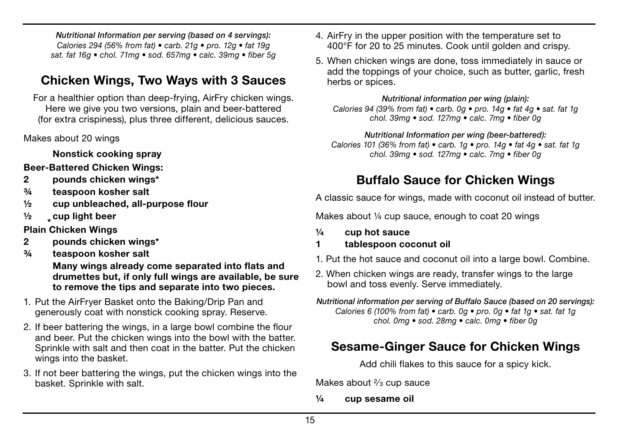*Nutritional Information per serving (based on 4 servings): Calories 294 (56% from fat) • carb. 21g • pro. 12g • fat 19g sat. fat 16g • chol. 71mg • sod. 657mg • calc. 39mg • fiber 5g*

## Chicken Wings, Two Ways with 3 Sauces

For a healthier option than deep-frying, AirFry chicken wings. Here we give you two versions, plain and beer-battered (for extra crispiness), plus three different, delicious sauces.

#### Makes about 20 wings

Nonstick cooking spray

Beer-Battered Chicken Wings:

- 2 pounds chicken wings\*
- ¾ teaspoon kosher salt
- ½ cup unbleached, all-purpose flour
- $\frac{1}{2}$  cup light beer
- **Plain Chicken Wings**
- 2 pounds chicken wings\*
- ¾ teaspoon kosher salt

 Many wings already come separated into flats and drumettes but, if only full wings are available, be sure to remove the tips and separate into two pieces.

- 1. Put the AirFryer Basket onto the Baking/Drip Pan and generously coat with nonstick cooking spray. Reserve.
- 2. If beer battering the wings, in a large bowl combine the flour and beer. Put the chicken wings into the bowl with the batter. Sprinkle with salt and then coat in the batter. Put the chicken wings into the basket.
- 3. If not beer battering the wings, put the chicken wings into the basket. Sprinkle with salt.
- 4. AirFry in the upper position with the temperature set to 400°F for 20 to 25 minutes. Cook until golden and crispy.
- 5. When chicken wings are done, toss immediately in sauce or add the toppings of your choice, such as butter, garlic, fresh herbs or spices.

*Nutritional information per wing (plain): Calories 94 (39% from fat) • carb. 0g • pro. 14g • fat 4g • sat. fat 1g chol. 39mg • sod. 127mg • calc. 7mg • fiber 0g*

*Nutritional Information per wing (beer-battered): Calories 101 (36% from fat) • carb. 1g • pro. 14g • fat 4g • sat. fat 1g chol. 39mg • sod. 127mg • calc. 7mg • fiber 0g*

## Buffalo Sauce for Chicken Wings

A classic sauce for wings, made with coconut oil instead of butter.

Makes about 1/4 cup sauce, enough to coat 20 wings

- ¼ cup hot sauce
- 1 tablespoon coconut oil
- 1. Put the hot sauce and coconut oil into a large bowl. Combine.
- 2. When chicken wings are ready, transfer wings to the large bowl and toss evenly. Serve immediately.

*Nutritional information per serving of Buffalo Sauce (based on 20 servings): Calories 6 (100% from fat) • carb. 0g • pro. 0g • fat 1g • sat. fat 1g chol. 0mg • sod. 28mg • calc. 0mg • fiber 0g*

## Sesame-Ginger Sauce for Chicken Wings

Add chili flakes to this sauce for a spicy kick.

Makes about <sup>2</sup>/<sub>3</sub> cup sauce

¼ cup sesame oil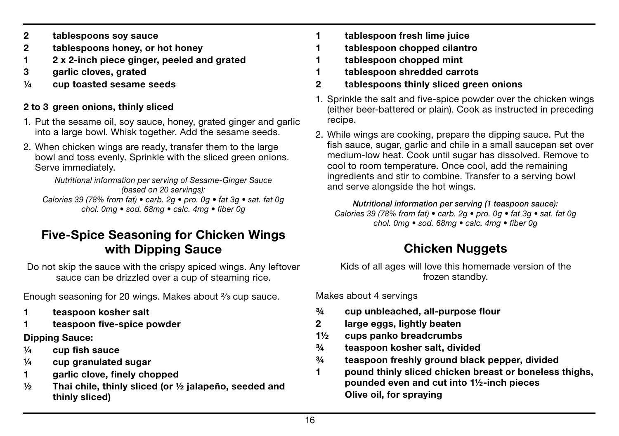- 2 tablespoons soy sauce
- 2 tablespoons honey, or hot honey
- 1 2 x 2-inch piece ginger, peeled and grated
- 3 garlic cloves, grated
- $\frac{1}{4}$  cup toasted sesame seeds

#### 2 to 3 green onions, thinly sliced

- 1. Put the sesame oil, soy sauce, honey, grated ginger and garlic into a large bowl. Whisk together. Add the sesame seeds.
- 2. When chicken wings are ready, transfer them to the large bowl and toss evenly. Sprinkle with the sliced green onions. Serve immediately.

*Nutritional information per serving of Sesame-Ginger Sauce (based on 20 servings): Calories 39 (78% from fat) • carb. 2g • pro. 0g • fat 3g • sat. fat 0g chol. 0mg • sod. 68mg • calc. 4mg • fiber 0g*

### Five-Spice Seasoning for Chicken Wings with Dipping Sauce

Do not skip the sauce with the crispy spiced wings. Any leftover sauce can be drizzled over a cup of steaming rice.

Enough seasoning for 20 wings. Makes about  $\frac{2}{3}$  cup sauce.

- 1 teaspoon kosher salt
- teaspoon five-spice powder

#### Dipping Sauce:

- ¼ cup fish sauce
- $\frac{1}{4}$  cup granulated sugar
- 1 garlic clove, finely chopped
- ½ Thai chile, thinly sliced (or ½ jalapeño, seeded and thinly sliced)
- 1 tablespoon fresh lime juice
- 1 tablespoon chopped cilantro
- tablespoon chopped mint
- 1 tablespoon shredded carrots
- 2 tablespoons thinly sliced green onions
- 1. Sprinkle the salt and five-spice powder over the chicken wings (either beer-battered or plain). Cook as instructed in preceding recipe.
- 2. While wings are cooking, prepare the dipping sauce. Put the fish sauce, sugar, garlic and chile in a small saucepan set over medium-low heat. Cook until sugar has dissolved. Remove to cool to room temperature. Once cool, add the remaining ingredients and stir to combine. Transfer to a serving bowl and serve alongside the hot wings.

*Nutritional information per serving (1 teaspoon sauce): Calories 39 (78% from fat) • carb. 2g • pro. 0g • fat 3g • sat. fat 0g chol. 0mg • sod. 68mg • calc. 4mg • fiber 0g*

## **Chicken Nuggets**

Kids of all ages will love this homemade version of the frozen standby.

Makes about 4 servings

- ¾ cup unbleached, all-purpose flour
- 2 large eggs, lightly beaten
- 1½ cups panko breadcrumbs
- ¾ teaspoon kosher salt, divided
- ¾ teaspoon freshly ground black pepper, divided
- 1 pound thinly sliced chicken breast or boneless thighs, pounded even and cut into 1½-inch pieces Olive oil, for spraying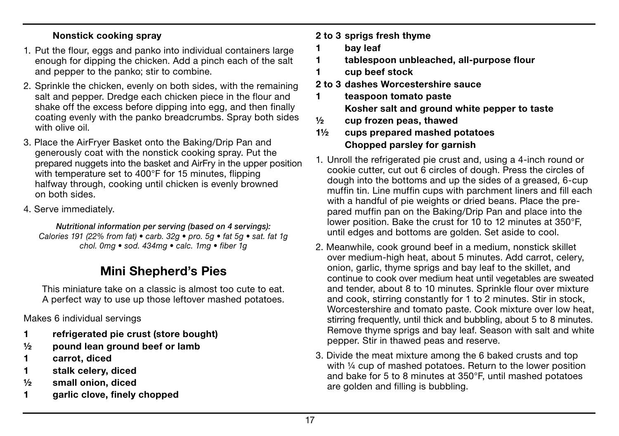#### Nonstick cooking spray

- 1. Put the flour, eggs and panko into individual containers large enough for dipping the chicken. Add a pinch each of the salt and pepper to the panko; stir to combine.
- 2. Sprinkle the chicken, evenly on both sides, with the remaining salt and pepper. Dredge each chicken piece in the flour and shake off the excess before dipping into egg, and then finally coating evenly with the panko breadcrumbs. Spray both sides with olive oil.
- 3. Place the AirFryer Basket onto the Baking/Drip Pan and generously coat with the nonstick cooking spray. Put the prepared nuggets into the basket and AirFry in the upper position with temperature set to 400°F for 15 minutes, flipping halfway through, cooking until chicken is evenly browned on both sides.
- 4. Serve immediately.

*Nutritional information per serving (based on 4 servings): Calories 191 (22% from fat) • carb. 32g • pro. 5g • fat 5g • sat. fat 1g chol. 0mg • sod. 434mg • calc. 1mg • fiber 1g*

## Mini Shepherd's Pies

This miniature take on a classic is almost too cute to eat. A perfect way to use up those leftover mashed potatoes.

Makes 6 individual servings

- 1 refrigerated pie crust (store bought)
- $\frac{1}{2}$  pound lean ground beef or lamb
- 1 carrot, diced
- 1 stalk celery, diced
- ½ small onion, diced
- 1 garlic clove, finely chopped

#### 2 to 3 sprigs fresh thyme

- 1 bay leaf
- 1 tablespoon unbleached, all-purpose flour
- 1 cup beef stock
- 2 to 3 dashes Worcestershire sauce
- 1 teaspoon tomato paste

Kosher salt and ground white pepper to taste

- $\frac{1}{2}$  cup frozen peas, thawed
- 1½ cups prepared mashed potatoes Chopped parsley for garnish
- 1. Unroll the refrigerated pie crust and, using a 4-inch round or cookie cutter, cut out 6 circles of dough. Press the circles of dough into the bottoms and up the sides of a greased, 6-cup muffin tin. Line muffin cups with parchment liners and fill each with a handful of pie weights or dried beans. Place the prepared muffin pan on the Baking/Drip Pan and place into the lower position. Bake the crust for 10 to 12 minutes at 350°F, until edges and bottoms are golden. Set aside to cool.
- 2. Meanwhile, cook ground beef in a medium, nonstick skillet over medium-high heat, about 5 minutes. Add carrot, celery, onion, garlic, thyme sprigs and bay leaf to the skillet, and continue to cook over medium heat until vegetables are sweated and tender, about 8 to 10 minutes. Sprinkle flour over mixture and cook, stirring constantly for 1 to 2 minutes. Stir in stock, Worcestershire and tomato paste. Cook mixture over low heat, stirring frequently, until thick and bubbling, about 5 to 8 minutes. Remove thyme sprigs and bay leaf. Season with salt and white pepper. Stir in thawed peas and reserve.
- 3. Divide the meat mixture among the 6 baked crusts and top with 1/4 cup of mashed potatoes. Return to the lower position and bake for 5 to 8 minutes at 350°F, until mashed potatoes are golden and filling is bubbling.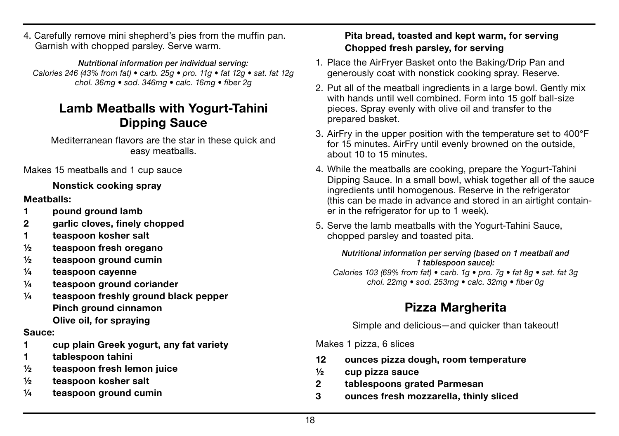4. Carefully remove mini shepherd's pies from the muffin pan. Garnish with chopped parsley. Serve warm.

*Nutritional information per individual serving: Calories 246 (43% from fat) • carb. 25g • pro. 11g • fat 12g • sat. fat 12g chol. 36mg • sod. 346mg • calc. 16mg • fiber 2g*

## Lamb Meatballs with Yogurt-Tahini Dipping Sauce

Mediterranean flavors are the star in these quick and easy meatballs.

Makes 15 meatballs and 1 cup sauce

#### Nonstick cooking spray

#### Meatballs:

- 1 pound ground lamb
- 2 garlic cloves, finely chopped
- 1 teaspoon kosher salt
- ½ teaspoon fresh oregano
- ½ teaspoon ground cumin
- ¼ teaspoon cayenne
- ¼ teaspoon ground coriander
- ¼ teaspoon freshly ground black pepper Pinch ground cinnamon Olive oil, for spraying

#### Sauce:

- 1 cup plain Greek yogurt, any fat variety
- 1 tablespoon tahini
- ½ teaspoon fresh lemon juice
- ½ teaspoon kosher salt
- ¼ teaspoon ground cumin

#### Pita bread, toasted and kept warm, for serving Chopped fresh parsley, for serving

- 1. Place the AirFryer Basket onto the Baking/Drip Pan and generously coat with nonstick cooking spray. Reserve.
- 2. Put all of the meatball ingredients in a large bowl. Gently mix with hands until well combined. Form into 15 golf ball-size pieces. Spray evenly with olive oil and transfer to the prepared basket.
- 3. AirFry in the upper position with the temperature set to 400°F for 15 minutes. AirFry until evenly browned on the outside, about 10 to 15 minutes.
- 4. While the meatballs are cooking, prepare the Yogurt-Tahini Dipping Sauce. In a small bowl, whisk together all of the sauce ingredients until homogenous. Reserve in the refrigerator (this can be made in advance and stored in an airtight container in the refrigerator for up to 1 week).
- 5. Serve the lamb meatballs with the Yogurt-Tahini Sauce, chopped parsley and toasted pita.

#### *Nutritional information per serving (based on 1 meatball and 1 tablespoon sauce):*

*Calories 103 (69% from fat) • carb. 1g • pro. 7g • fat 8g • sat. fat 3g chol. 22mg • sod. 253mg • calc. 32mg • fiber 0g*

## Pizza Margherita

Simple and delicious—and quicker than takeout!

Makes 1 pizza, 6 slices

- 12 ounces pizza dough, room temperature
- ½ cup pizza sauce
- 2 tablespoons grated Parmesan
- 3 ounces fresh mozzarella, thinly sliced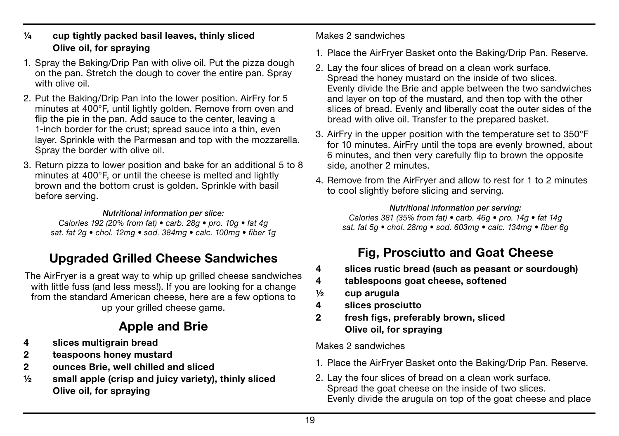#### $\frac{1}{4}$  cup tightly packed basil leaves, thinly sliced Olive oil, for spraying

- 1. Spray the Baking/Drip Pan with olive oil. Put the pizza dough on the pan. Stretch the dough to cover the entire pan. Spray with olive oil.
- 2. Put the Baking/Drip Pan into the lower position. AirFry for 5 minutes at 400°F, until lightly golden. Remove from oven and flip the pie in the pan. Add sauce to the center, leaving a 1-inch border for the crust; spread sauce into a thin, even layer. Sprinkle with the Parmesan and top with the mozzarella. Spray the border with olive oil.
- 3. Return pizza to lower position and bake for an additional 5 to 8 minutes at 400°F, or until the cheese is melted and lightly brown and the bottom crust is golden. Sprinkle with basil before serving.

#### *Nutritional information per slice:*

*Calories 192 (20% from fat) • carb. 28g • pro. 10g • fat 4g sat. fat 2g • chol. 12mg • sod. 384mg • calc. 100mg • fiber 1g*

## Upgraded Grilled Cheese Sandwiches

The AirFryer is a great way to whip up grilled cheese sandwiches with little fuss (and less mess!). If you are looking for a change from the standard American cheese, here are a few options to up your grilled cheese game.

## Apple and Brie

- 4 slices multigrain bread
- 2 teaspoons honey mustard
- 2 ounces Brie, well chilled and sliced
- $\frac{1}{2}$  small apple (crisp and juicy variety), thinly sliced Olive oil, for spraying

#### Makes 2 sandwiches

- 1. Place the AirFryer Basket onto the Baking/Drip Pan. Reserve.
- 2. Lay the four slices of bread on a clean work surface. Spread the honey mustard on the inside of two slices. Evenly divide the Brie and apple between the two sandwiches and layer on top of the mustard, and then top with the other slices of bread. Evenly and liberally coat the outer sides of the bread with olive oil. Transfer to the prepared basket.
- 3. AirFry in the upper position with the temperature set to 350°F for 10 minutes. AirFry until the tops are evenly browned, about 6 minutes, and then very carefully flip to brown the opposite side, another 2 minutes.
- 4. Remove from the AirFryer and allow to rest for 1 to 2 minutes to cool slightly before slicing and serving.

#### *Nutritional information per serving:*

*Calories 381 (35% from fat) • carb. 46g • pro. 14g • fat 14g sat. fat 5g • chol. 28mg • sod. 603mg • calc. 134mg • fiber 6g*

## Fig, Prosciutto and Goat Cheese

- 4 slices rustic bread (such as peasant or sourdough)
- 4 tablespoons goat cheese, softened
- ½ cup arugula
- 4 slices prosciutto
- 2 fresh figs, preferably brown, sliced Olive oil, for spraying

Makes 2 sandwiches

- 1. Place the AirFryer Basket onto the Baking/Drip Pan. Reserve.
- 2. Lay the four slices of bread on a clean work surface. Spread the goat cheese on the inside of two slices. Evenly divide the arugula on top of the goat cheese and place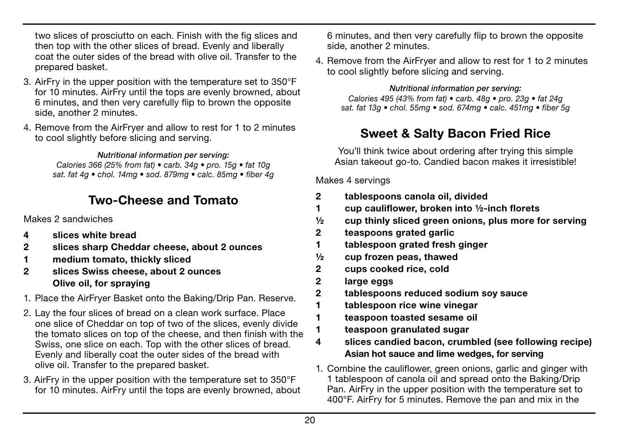two slices of prosciutto on each. Finish with the fig slices and then top with the other slices of bread. Evenly and liberally coat the outer sides of the bread with olive oil. Transfer to the prepared basket.

- 3. AirFry in the upper position with the temperature set to 350°F for 10 minutes. AirFry until the tops are evenly browned, about 6 minutes, and then very carefully flip to brown the opposite side, another 2 minutes.
- 4. Remove from the AirFryer and allow to rest for 1 to 2 minutes to cool slightly before slicing and serving.

*Nutritional information per serving:*

*Calories 366 (25% from fat) • carb. 34g • pro. 15g • fat 10g sat. fat 4g • chol. 14mg • sod. 879mg • calc. 85mg • fiber 4g*

## Two-Cheese and Tomato

Makes 2 sandwiches

- 4 slices white bread
- 2 slices sharp Cheddar cheese, about 2 ounces
- 1 medium tomato, thickly sliced
- 2 slices Swiss cheese, about 2 ounces Olive oil, for spraying
- 1. Place the AirFryer Basket onto the Baking/Drip Pan. Reserve.
- 2. Lay the four slices of bread on a clean work surface. Place one slice of Cheddar on top of two of the slices, evenly divide the tomato slices on top of the cheese, and then finish with the Swiss, one slice on each. Top with the other slices of bread. Evenly and liberally coat the outer sides of the bread with olive oil. Transfer to the prepared basket.
- 3. AirFry in the upper position with the temperature set to 350°F for 10 minutes. AirFry until the tops are evenly browned, about

6 minutes, and then very carefully flip to brown the opposite side, another 2 minutes.

4. Remove from the AirFryer and allow to rest for 1 to 2 minutes to cool slightly before slicing and serving.

*Nutritional information per serving: Calories 495 (43% from fat) • carb. 48g • pro. 23g • fat 24g sat. fat 13g • chol. 55mg • sod. 674mg • calc. 451mg • fiber 5g*

## Sweet & Salty Bacon Fried Rice

You'll think twice about ordering after trying this simple Asian takeout go-to. Candied bacon makes it irresistible!

Makes 4 servings

- 2 tablespoons canola oil, divided
- 1 cup cauliflower, broken into ½-inch florets
- $\frac{1}{2}$  cup thinly sliced green onions, plus more for serving
- 2 teaspoons grated garlic
- 1 tablespoon grated fresh ginger
- ½ cup frozen peas, thawed
- 2 cups cooked rice, cold
- 2 large eggs
- 2 tablespoons reduced sodium soy sauce
- 1 tablespoon rice wine vinegar
- 1 teaspoon toasted sesame oil
- 1 teaspoon granulated sugar
- 4 slices candied bacon, crumbled (see following recipe) Asian hot sauce and lime wedges, for serving
- 1. Combine the cauliflower, green onions, garlic and ginger with 1 tablespoon of canola oil and spread onto the Baking/Drip Pan. AirFry in the upper position with the temperature set to 400°F. AirFry for 5 minutes. Remove the pan and mix in the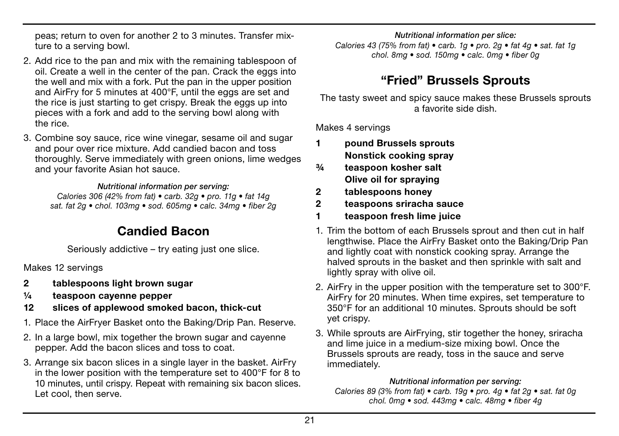peas; return to oven for another 2 to 3 minutes. Transfer mixture to a serving bowl.

- 2. Add rice to the pan and mix with the remaining tablespoon of oil. Create a well in the center of the pan. Crack the eggs into the well and mix with a fork. Put the pan in the upper position and AirFry for 5 minutes at 400°F, until the eggs are set and the rice is just starting to get crispy. Break the eggs up into pieces with a fork and add to the serving bowl along with the rice.
- 3. Combine soy sauce, rice wine vinegar, sesame oil and sugar and pour over rice mixture. Add candied bacon and toss thoroughly. Serve immediately with green onions, lime wedges and your favorite Asian hot sauce.

#### *Nutritional information per serving:*

*Calories 306 (42% from fat) • carb. 32g • pro. 11g • fat 14g sat. fat 2g • chol. 103mg • sod. 605mg • calc. 34mg • fiber 2g*

### Candied Bacon

Seriously addictive – try eating just one slice.

Makes 12 servings

- 2 tablespoons light brown sugar
- ¼ teaspoon cayenne pepper
- 12 slices of applewood smoked bacon, thick-cut
- 1. Place the AirFryer Basket onto the Baking/Drip Pan. Reserve.
- 2. In a large bowl, mix together the brown sugar and cayenne pepper. Add the bacon slices and toss to coat.
- 3. Arrange six bacon slices in a single layer in the basket. AirFry in the lower position with the temperature set to 400°F for 8 to 10 minutes, until crispy. Repeat with remaining six bacon slices. Let cool, then serve.

#### *Nutritional information per slice:*

*Calories 43 (75% from fat) • carb. 1g • pro. 2g • fat 4g • sat. fat 1g chol. 8mg • sod. 150mg • calc. 0mg • fiber 0g*

## "Fried" Brussels Sprouts

The tasty sweet and spicy sauce makes these Brussels sprouts a favorite side dish.

Makes 4 servings

- 1 pound Brussels sprouts Nonstick cooking spray
- ¾ teaspoon kosher salt Olive oil for spraying
- 2 tablespoons honey
- 2 teaspoons sriracha sauce
- 1 teaspoon fresh lime juice
- 1. Trim the bottom of each Brussels sprout and then cut in half lengthwise. Place the AirFry Basket onto the Baking/Drip Pan and lightly coat with nonstick cooking spray. Arrange the halved sprouts in the basket and then sprinkle with salt and lightly spray with olive oil.
- 2. AirFry in the upper position with the temperature set to 300°F. AirFry for 20 minutes. When time expires, set temperature to 350°F for an additional 10 minutes. Sprouts should be soft yet crispy.
- 3. While sprouts are AirFrying, stir together the honey, sriracha and lime juice in a medium-size mixing bowl. Once the Brussels sprouts are ready, toss in the sauce and serve immediately.

#### *Nutritional information per serving:*

*Calories 89 (3% from fat) • carb. 19g • pro. 4g • fat 2g • sat. fat 0g chol. 0mg • sod. 443mg • calc. 48mg • fiber 4g*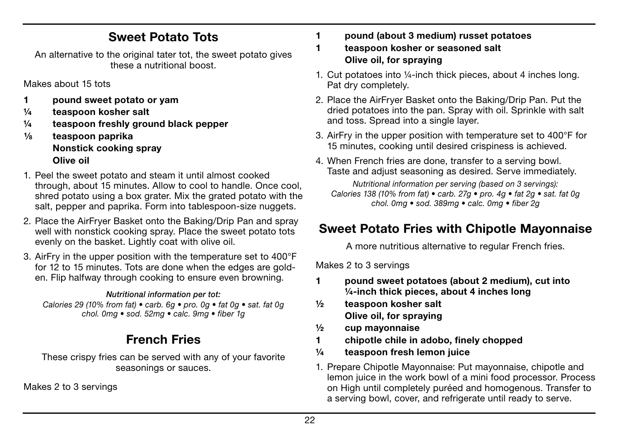## Sweet Potato Tots

An alternative to the original tater tot, the sweet potato gives these a nutritional boost.

Makes about 15 tots

- 1 pound sweet potato or yam
- ¼ teaspoon kosher salt
- ¼ teaspoon freshly ground black pepper
- $\frac{1}{8}$  teaspoon paprika Nonstick cooking spray Olive oil
- 1. Peel the sweet potato and steam it until almost cooked through, about 15 minutes. Allow to cool to handle. Once cool, shred potato using a box grater. Mix the grated potato with the salt, pepper and paprika. Form into tablespoon-size nuggets.
- 2. Place the AirFryer Basket onto the Baking/Drip Pan and spray well with nonstick cooking spray. Place the sweet potato tots evenly on the basket. Lightly coat with olive oil.
- 3. AirFry in the upper position with the temperature set to 400°F for 12 to 15 minutes. Tots are done when the edges are golden. Flip halfway through cooking to ensure even browning.

#### *Nutritional information per tot:*

*Calories 29 (10% from fat) • carb. 6g • pro. 0g • fat 0g • sat. fat 0g chol. 0mg • sod. 52mg • calc. 9mg • fiber 1g*

## French Fries

These crispy fries can be served with any of your favorite seasonings or sauces.

Makes 2 to 3 servings

- 1 pound (about 3 medium) russet potatoes
- 1 teaspoon kosher or seasoned salt Olive oil, for spraying
- 1. Cut potatoes into ¼-inch thick pieces, about 4 inches long. Pat dry completely.
- 2. Place the AirFryer Basket onto the Baking/Drip Pan. Put the dried potatoes into the pan. Spray with oil. Sprinkle with salt and toss. Spread into a single layer.
- 3. AirFry in the upper position with temperature set to 400°F for 15 minutes, cooking until desired crispiness is achieved.
- 4. When French fries are done, transfer to a serving bowl. Taste and adjust seasoning as desired. Serve immediately.

*Nutritional information per serving (based on 3 servings): Calories 138 (10% from fat) • carb. 27g • pro. 4g • fat 2g • sat. fat 0g chol. 0mg • sod. 389mg • calc. 0mg • fiber 2g*

## Sweet Potato Fries with Chipotle Mayonnaise

A more nutritious alternative to regular French fries.

Makes 2 to 3 servings

- 1 pound sweet potatoes (about 2 medium), cut into ¼-inch thick pieces, about 4 inches long
- ½ teaspoon kosher salt Olive oil, for spraying
- ½ cup mayonnaise
- 1 chipotle chile in adobo, finely chopped
- ¼ teaspoon fresh lemon juice
- 1. Prepare Chipotle Mayonnaise: Put mayonnaise, chipotle and lemon juice in the work bowl of a mini food processor. Process on High until completely puréed and homogenous. Transfer to a serving bowl, cover, and refrigerate until ready to serve.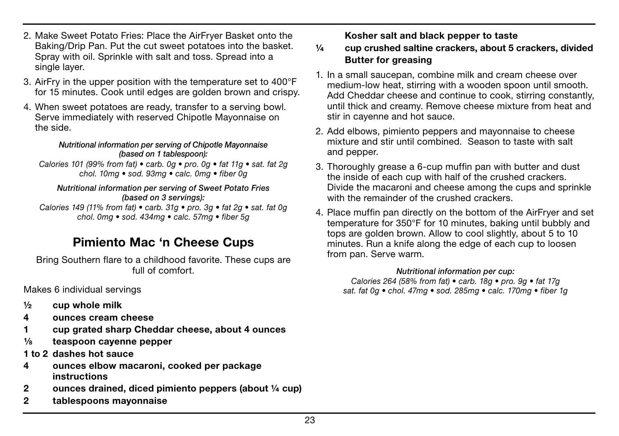23

- 2. Make Sweet Potato Fries: Place the AirFryer Basket onto the Baking/Drip Pan. Put the cut sweet potatoes into the basket. Spray with oil. Sprinkle with salt and toss. Spread into a single layer.
- 3. AirFry in the upper position with the temperature set to 400°F for 15 minutes. Cook until edges are golden brown and crispy.
- 4. When sweet potatoes are ready, transfer to a serving bowl. Serve immediately with reserved Chipotle Mayonnaise on the side.

#### *Nutritional information per serving of Chipotle Mayonnaise (based on 1 tablespoon):*

*Calories 101 (99% from fat) • carb. 0g • pro. 0g • fat 11g • sat. fat 2g chol. 10mg • sod. 93mg • calc. 0mg • fiber 0g*

#### *Nutritional information per serving of Sweet Potato Fries (based on 3 servings):*

*Calories 149 (11% from fat) • carb. 31g • pro. 3g • fat 2g • sat. fat 0g chol. 0mg • sod. 434mg • calc. 57mg • fiber 5g*

### Pimiento Mac 'n Cheese Cups

Bring Southern flare to a childhood favorite. These cups are full of comfort.

Makes 6 individual servings

- $\frac{1}{2}$  cup whole milk
- 4 ounces cream cheese
- 1 cup grated sharp Cheddar cheese, about 4 ounces
- $\frac{1}{8}$  teaspoon cavenne pepper
- 1 to 2 dashes hot sauce
- 4 ounces elbow macaroni, cooked per package instructions
- 2 ounces drained, diced pimiento peppers (about ¼ cup)
- 2 tablespoons mayonnaise

Kosher salt and black pepper to taste

#### ¼ cup crushed saltine crackers, about 5 crackers, divided Butter for greasing

- 1. In a small saucepan, combine milk and cream cheese over medium-low heat, stirring with a wooden spoon until smooth. Add Cheddar cheese and continue to cook, stirring constantly, until thick and creamy. Remove cheese mixture from heat and stir in cayenne and hot sauce.
- 2. Add elbows, pimiento peppers and mayonnaise to cheese mixture and stir until combined. Season to taste with salt and pepper.
- 3. Thoroughly grease a 6-cup muffin pan with butter and dust the inside of each cup with half of the crushed crackers. Divide the macaroni and cheese among the cups and sprinkle with the remainder of the crushed crackers.
- 4. Place muffin pan directly on the bottom of the AirFryer and set temperature for 350°F for 10 minutes, baking until bubbly and tops are golden brown. Allow to cool slightly, about 5 to 10 minutes. Run a knife along the edge of each cup to loosen from pan. Serve warm.

#### *Nutritional information per cup:*

*Calories 264 (58% from fat) • carb. 18g • pro. 9g • fat 17g sat. fat 0g • chol. 47mg • sod. 285mg • calc. 170mg • fiber 1g*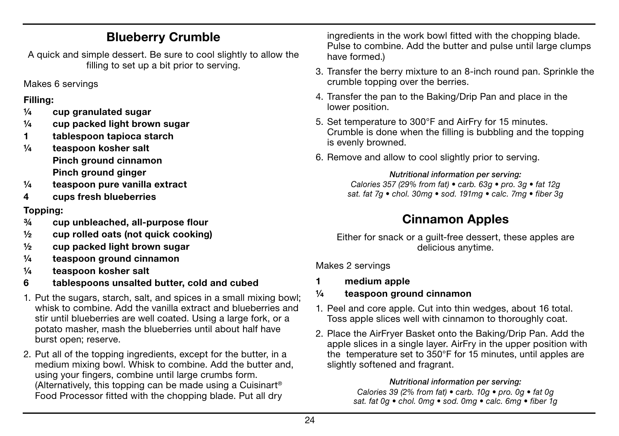## Blueberry Crumble

A quick and simple dessert. Be sure to cool slightly to allow the filling to set up a bit prior to serving.

Makes 6 servings

#### Filling:

- $\frac{1}{4}$  cup granulated sugar
- ¼ cup packed light brown sugar
- 1 tablespoon tapioca starch
- ¼ teaspoon kosher salt Pinch ground cinnamon Pinch ground ginger
- ¼ teaspoon pure vanilla extract
- 4 cups fresh blueberries

#### Topping:

- ¾ cup unbleached, all-purpose flour
- ½ cup rolled oats (not quick cooking)
- ½ cup packed light brown sugar
- ¼ teaspoon ground cinnamon
- ¼ teaspoon kosher salt
- 6 tablespoons unsalted butter, cold and cubed
- 1. Put the sugars, starch, salt, and spices in a small mixing bowl; whisk to combine. Add the vanilla extract and blueberries and stir until blueberries are well coated. Using a large fork, or a potato masher, mash the blueberries until about half have burst open; reserve.
- 2. Put all of the topping ingredients, except for the butter, in a medium mixing bowl. Whisk to combine. Add the butter and, using your fingers, combine until large crumbs form. (Alternatively, this topping can be made using a Cuisinart® Food Processor fitted with the chopping blade. Put all dry

ingredients in the work bowl fitted with the chopping blade. Pulse to combine. Add the butter and pulse until large clumps have formed.)

- 3. Transfer the berry mixture to an 8-inch round pan. Sprinkle the crumble topping over the berries.
- 4. Transfer the pan to the Baking/Drip Pan and place in the lower position.
- 5. Set temperature to 300°F and AirFry for 15 minutes. Crumble is done when the filling is bubbling and the topping is evenly browned.
- 6. Remove and allow to cool slightly prior to serving.

#### *Nutritional information per serving: Calories 357 (29% from fat) • carb. 63g • pro. 3g • fat 12g sat. fat 7g • chol. 30mg • sod. 191mg • calc. 7mg • fiber 3g*

## Cinnamon Apples

Either for snack or a guilt-free dessert, these apples are delicious anytime.

Makes 2 servings

- 1 medium apple
- ¼ teaspoon ground cinnamon
- 1. Peel and core apple. Cut into thin wedges, about 16 total. Toss apple slices well with cinnamon to thoroughly coat.
- 2. Place the AirFryer Basket onto the Baking/Drip Pan. Add the apple slices in a single layer. AirFry in the upper position with the temperature set to 350°F for 15 minutes, until apples are slightly softened and fragrant.

#### *Nutritional information per serving:*

*Calories 39 (2% from fat) • carb. 10g • pro. 0g • fat 0g sat. fat 0g • chol. 0mg • sod. 0mg • calc. 6mg • fiber 1g*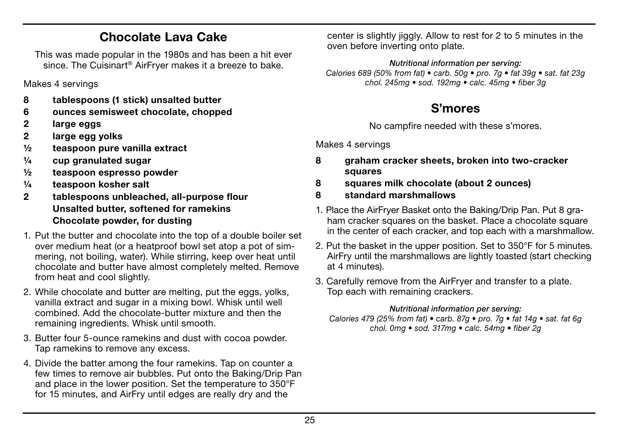## Chocolate Lava Cake

This was made popular in the 1980s and has been a hit ever since. The Cuisinart® AirFryer makes it a breeze to bake.

Makes 4 servings

- 8 tablespoons (1 stick) unsalted butter
- 6 ounces semisweet chocolate, chopped
- 2 large eggs
- 2 large egg yolks
- ½ teaspoon pure vanilla extract
- $\frac{1}{4}$  cup granulated sugar
- ½ teaspoon espresso powder
- ¼ teaspoon kosher salt
- 2 tablespoons unbleached, all-purpose flour Unsalted butter, softened for ramekins Chocolate powder, for dusting
- 1. Put the butter and chocolate into the top of a double boiler set over medium heat (or a heatproof bowl set atop a pot of simmering, not boiling, water). While stirring, keep over heat until chocolate and butter have almost completely melted. Remove from heat and cool slightly.
- 2. While chocolate and butter are melting, put the eggs, yolks, vanilla extract and sugar in a mixing bowl. Whisk until well combined. Add the chocolate-butter mixture and then the remaining ingredients. Whisk until smooth.
- 3. Butter four 5-ounce ramekins and dust with cocoa powder. Tap ramekins to remove any excess.
- 4. Divide the batter among the four ramekins. Tap on counter a few times to remove air bubbles. Put onto the Baking/Drip Pan and place in the lower position. Set the temperature to 350°F for 15 minutes, and AirFry until edges are really dry and the

center is slightly jiggly. Allow to rest for 2 to 5 minutes in the oven before inverting onto plate.

*Nutritional information per serving: Calories 689 (50% from fat) • carb. 50g • pro. 7g • fat 39g • sat. fat 23g chol. 245mg • sod. 192mg • calc. 45mg • fiber 3g*

## S'mores

No campfire needed with these s'mores.

Makes 4 servings

- 8 graham cracker sheets, broken into two-cracker squares
- 8 squares milk chocolate (about 2 ounces)
- 8 standard marshmallows
- 1. Place the AirFryer Basket onto the Baking/Drip Pan. Put 8 graham cracker squares on the basket. Place a chocolate square in the center of each cracker, and top each with a marshmallow.
- 2. Put the basket in the upper position. Set to 350°F for 5 minutes. AirFry until the marshmallows are lightly toasted (start checking at 4 minutes).
- 3. Carefully remove from the AirFryer and transfer to a plate. Top each with remaining crackers.

#### *Nutritional information per serving:*

*Calories 479 (25% from fat) • carb. 87g • pro. 7g • fat 14g • sat. fat 6g chol. 0mg • sod. 317mg • calc. 54mg • fiber 2g*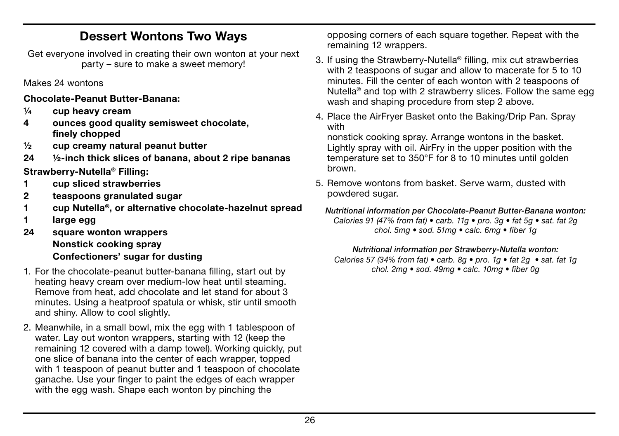## Dessert Wontons Two Ways

Get everyone involved in creating their own wonton at your next party – sure to make a sweet memory!

Makes 24 wontons

Chocolate-Peanut Butter-Banana:

- ¼ cup heavy cream
- 4 ounces good quality semisweet chocolate, finely chopped
- ½ cup creamy natural peanut butter
- 24 ½-inch thick slices of banana, about 2 ripe bananas

Strawberry-Nutella® Filling:

- 1 cup sliced strawberries
- 2 teaspoons granulated sugar
- 1 cup Nutella®, or alternative chocolate-hazelnut spread
- 1 large egg
- 24 square wonton wrappers Nonstick cooking spray Confectioners' sugar for dusting
- 1. For the chocolate-peanut butter-banana filling, start out by heating heavy cream over medium-low heat until steaming. Remove from heat, add chocolate and let stand for about 3 minutes. Using a heatproof spatula or whisk, stir until smooth and shiny. Allow to cool slightly.
- 2. Meanwhile, in a small bowl, mix the egg with 1 tablespoon of water. Lay out wonton wrappers, starting with 12 (keep the remaining 12 covered with a damp towel). Working quickly, put one slice of banana into the center of each wrapper, topped with 1 teaspoon of peanut butter and 1 teaspoon of chocolate ganache. Use your finger to paint the edges of each wrapper with the egg wash. Shape each wonton by pinching the

opposing corners of each square together. Repeat with the remaining 12 wrappers.

- 3. If using the Strawberry-Nutella® filling, mix cut strawberries with 2 teaspoons of sugar and allow to macerate for 5 to 10 minutes. Fill the center of each wonton with 2 teaspoons of Nutella<sup>®</sup> and top with 2 strawberry slices. Follow the same egg wash and shaping procedure from step 2 above.
- 4. Place the AirFryer Basket onto the Baking/Drip Pan. Spray with

nonstick cooking spray. Arrange wontons in the basket. Lightly spray with oil. AirFry in the upper position with the temperature set to 350°F for 8 to 10 minutes until golden brown.

- 5. Remove wontons from basket. Serve warm, dusted with powdered sugar.
- *Nutritional information per Chocolate-Peanut Butter-Banana wonton: Calories 91 (47% from fat) • carb. 11g • pro. 3g • fat 5g • sat. fat 2g chol. 5mg • sod. 51mg • calc. 6mg • fiber 1g*

*Nutritional information per Strawberry-Nutella wonton:*

*Calories 57 (34% from fat) • carb. 8g • pro. 1g • fat 2g • sat. fat 1g chol. 2mg • sod. 49mg • calc. 10mg • fiber 0g*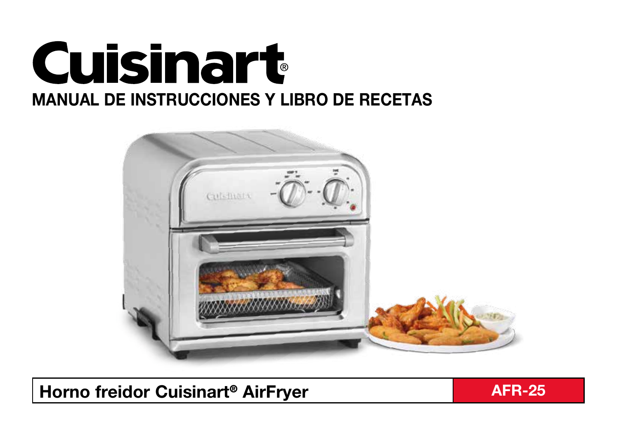



Horno freidor Cuisinart<sup>®</sup> AirFryer And AFR-25

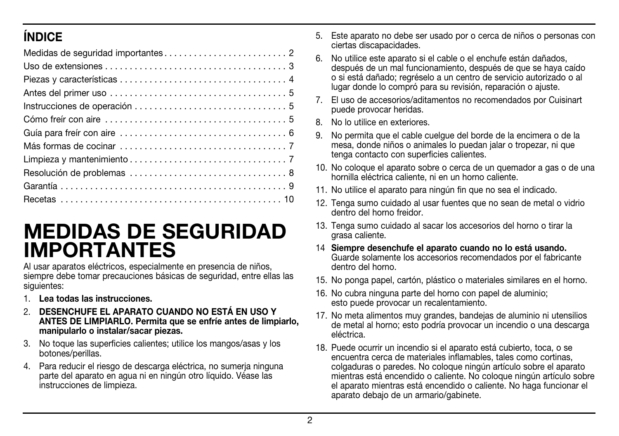## ÍNDICE

## MEDIDAS DE SEGURIDAD IMPORTANTES

Al usar aparatos eléctricos, especialmente en presencia de niños, siempre debe tomar precauciones básicas de seguridad, entre ellas las siguientes:

- 1. Lea todas las instrucciones.
- 2. DESENCHUFE EL APARATO CUANDO NO ESTÁ EN USO Y ANTES DE LIMPIARLO. Permita que se enfríe antes de limpiarlo, manipularlo o instalar/sacar piezas.
- 3. No toque las superficies calientes; utilice los mangos/asas y los botones/perillas.
- 4. Para reducir el riesgo de descarga eléctrica, no sumerja ninguna parte del aparato en agua ni en ningún otro líquido. Véase las instrucciones de limpieza.
- 5. Este aparato no debe ser usado por o cerca de niños o personas con ciertas discapacidades.
- 6. No utilice este aparato si el cable o el enchufe están dañados, después de un mal funcionamiento, después de que se haya caído o si está dañado; regréselo a un centro de servicio autorizado o al lugar donde lo compró para su revisión, reparación o ajuste.
- 7. El uso de accesorios/aditamentos no recomendados por Cuisinart puede provocar heridas.
- 8. No lo utilice en exteriores.
- 9. No permita que el cable cuelgue del borde de la encimera o de la mesa, donde niños o animales lo puedan jalar o tropezar, ni que tenga contacto con superficies calientes.
- 10. No coloque el aparato sobre o cerca de un quemador a gas o de una hornilla eléctrica caliente, ni en un horno caliente.
- 11. No utilice el aparato para ningún fin que no sea el indicado.
- 12. Tenga sumo cuidado al usar fuentes que no sean de metal o vidrio dentro del horno freidor.
- 13. Tenga sumo cuidado al sacar los accesorios del horno o tirar la grasa caliente.
- 14 Siempre desenchufe el aparato cuando no lo está usando. Guarde solamente los accesorios recomendados por el fabricante dentro del horno.
- 15. No ponga papel, cartón, plástico o materiales similares en el horno.
- 16. No cubra ninguna parte del horno con papel de aluminio; esto puede provocar un recalentamiento.
- 17. No meta alimentos muy grandes, bandejas de aluminio ni utensilios de metal al horno; esto podría provocar un incendio o una descarga eléctrica.
- 18. Puede ocurrir un incendio si el aparato está cubierto, toca, o se encuentra cerca de materiales inflamables, tales como cortinas, colgaduras o paredes. No coloque ningún artículo sobre el aparato mientras está encendido o caliente. No coloque ningún artículo sobre el aparato mientras está encendido o caliente. No haga funcionar el aparato debajo de un armario/gabinete.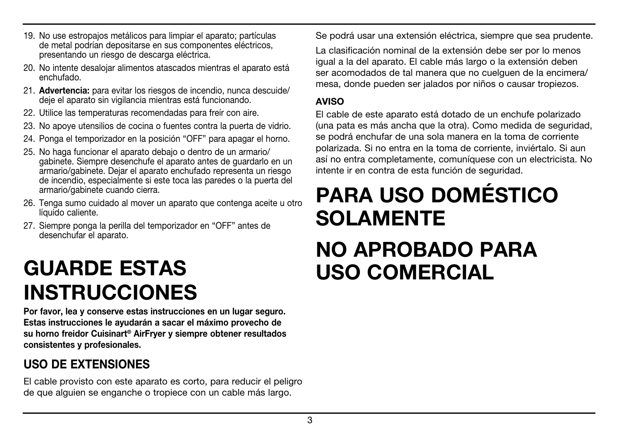- 19. No use estropajos metálicos para limpiar el aparato; partículas de metal podrían depositarse en sus componentes eléctricos, presentando un riesgo de descarga eléctrica.
- 20. No intente desalojar alimentos atascados mientras el aparato está enchufado.
- 21. Advertencia: para evitar los riesgos de incendio, nunca descuide/ deje el aparato sin vigilancia mientras está funcionando.
- 22. Utilice las temperaturas recomendadas para freír con aire.
- 23. No apoye utensilios de cocina o fuentes contra la puerta de vidrio.
- 24. Ponga el temporizador en la posición "OFF" para apagar el horno.
- 25. No haga funcionar el aparato debajo o dentro de un armario/ gabinete. Siempre desenchufe el aparato antes de guardarlo en un armario/gabinete. Dejar el aparato enchufado representa un riesgo de incendio, especialmente si este toca las paredes o la puerta del armario/gabinete cuando cierra.
- 26. Tenga sumo cuidado al mover un aparato que contenga aceite u otro líquido caliente.
- 27. Siempre ponga la perilla del temporizador en "OFF" antes de desenchufar el aparato.

# GUARDE ESTAS INSTRUCCIONES

Por favor, lea y conserve estas instrucciones en un lugar seguro. Estas instrucciones le ayudarán a sacar el máximo provecho de su horno freidor Cuisinart® AirFryer y siempre obtener resultados consistentes y profesionales.

## USO DE EXTENSIONES

El cable provisto con este aparato es corto, para reducir el peligro de que alguien se enganche o tropiece con un cable más largo.

Se podrá usar una extensión eléctrica, siempre que sea prudente.

La clasificación nominal de la extensión debe ser por lo menos igual a la del aparato. El cable más largo o la extensión deben ser acomodados de tal manera que no cuelguen de la encimera/ mesa, donde pueden ser jalados por niños o causar tropiezos.

#### **AVISO**

El cable de este aparato está dotado de un enchufe polarizado (una pata es más ancha que la otra). Como medida de seguridad, se podrá enchufar de una sola manera en la toma de corriente polarizada. Si no entra en la toma de corriente, inviértalo. Si aun así no entra completamente, comuníquese con un electricista. No intente ir en contra de esta función de seguridad.

# PARA USO DOMÉSTICO SOLAMENTE NO APROBADO PARA USO COMERCIAL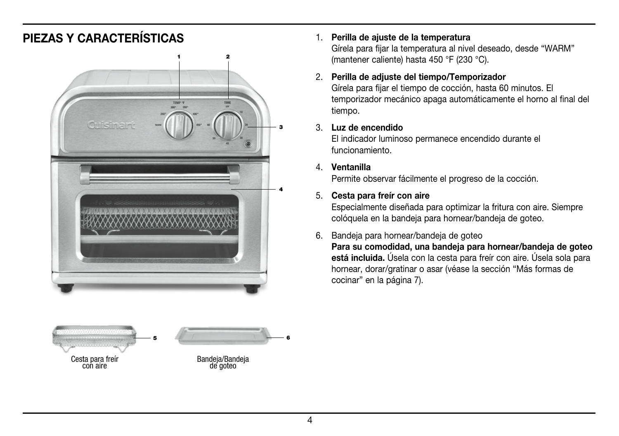### PIEZAS Y CARACTERÍSTICAS 1. Perilla de ajuste de la temperatura





Gírela para fijar la temperatura al nivel deseado, desde "WARM" (mantener caliente) hasta 450 °F (230 °C).

#### 2. Perilla de adjuste del tiempo/Temporizador

Gírela para fijar el tiempo de cocción, hasta 60 minutos. El temporizador mecánico apaga automáticamente el horno al final del tiempo.

#### 3. Luz de encendido

El indicador luminoso permanece encendido durante el funcionamiento.

#### 4. Ventanilla

Permite observar fácilmente el progreso de la cocción.

#### 5. Cesta para freír con aire

Especialmente diseñada para optimizar la fritura con aire. Siempre colóquela en la bandeja para hornear/bandeja de goteo.

#### 6. Bandeja para hornear/bandeja de goteo

Para su comodidad, una bandeja para hornear/bandeja de goteo está incluida. Úsela con la cesta para freír con aire. Úsela sola para hornear, dorar/gratinar o asar (véase la sección "Más formas de cocinar" en la página 7).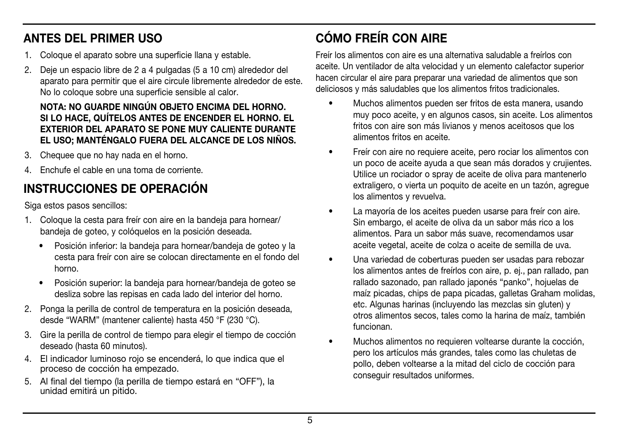## ANTES DEL PRIMER USO

- 1. Coloque el aparato sobre una superficie llana y estable.
- 2. Deje un espacio libre de 2 a 4 pulgadas (5 a 10 cm) alrededor del aparato para permitir que el aire circule libremente alrededor de este. No lo coloque sobre una superficie sensible al calor.

#### NOTA: NO GUARDE NINGÚN OBJETO ENCIMA DEL HORNO. SI LO HACE, QUÍTELOS ANTES DE ENCENDER EL HORNO. EL EXTERIOR DEL APARATO SE PONE MUY CALIENTE DURANTE EL USO; MANTÉNGALO FUERA DEL ALCANCE DE LOS NIÑOS.

- 3. Chequee que no hay nada en el horno.
- 4. Enchufe el cable en una toma de corriente.

## INSTRUCCIONES DE OPERACIÓN

Siga estos pasos sencillos:

- 1. Coloque la cesta para freír con aire en la bandeja para hornear/ bandeja de goteo, y colóquelos en la posición deseada.
	- Posición inferior: la bandeja para hornear/bandeja de goteo y la cesta para freír con aire se colocan directamente en el fondo del horno.
	- Posición superior: la bandeja para hornear/bandeja de goteo se desliza sobre las repisas en cada lado del interior del horno.
- 2. Ponga la perilla de control de temperatura en la posición deseada, desde "WARM" (mantener caliente) hasta 450 °F (230 °C).
- 3. Gire la perilla de control de tiempo para elegir el tiempo de cocción deseado (hasta 60 minutos).
- 4. El indicador luminoso rojo se encenderá, lo que indica que el proceso de cocción ha empezado.
- 5. Al final del tiempo (la perilla de tiempo estará en "OFF"), la unidad emitirá un pitido.

## CÓMO FREÍR CON AIRE

Freír los alimentos con aire es una alternativa saludable a freírlos con aceite. Un ventilador de alta velocidad y un elemento calefactor superior hacen circular el aire para preparar una variedad de alimentos que son deliciosos y más saludables que los alimentos fritos tradicionales.

- Muchos alimentos pueden ser fritos de esta manera, usando muy poco aceite, y en algunos casos, sin aceite. Los alimentos fritos con aire son más livianos y menos aceitosos que los alimentos fritos en aceite.
- Freír con aire no requiere aceite, pero rociar los alimentos con un poco de aceite ayuda a que sean más dorados y crujientes. Utilice un rociador o spray de aceite de oliva para mantenerlo extraligero, o vierta un poquito de aceite en un tazón, agregue los alimentos y revuelva.
- La mayoría de los aceites pueden usarse para freír con aire. Sin embargo, el aceite de oliva da un sabor más rico a los alimentos. Para un sabor más suave, recomendamos usar aceite vegetal, aceite de colza o aceite de semilla de uva.
- Una variedad de coberturas pueden ser usadas para rebozar los alimentos antes de freírlos con aire, p. ej., pan rallado, pan rallado sazonado, pan rallado japonés "panko", hojuelas de maíz picadas, chips de papa picadas, galletas Graham molidas, etc. Algunas harinas (incluyendo las mezclas sin gluten) y otros alimentos secos, tales como la harina de maíz, también funcionan.
- Muchos alimentos no requieren voltearse durante la cocción, pero los artículos más grandes, tales como las chuletas de pollo, deben voltearse a la mitad del ciclo de cocción para conseguir resultados uniformes.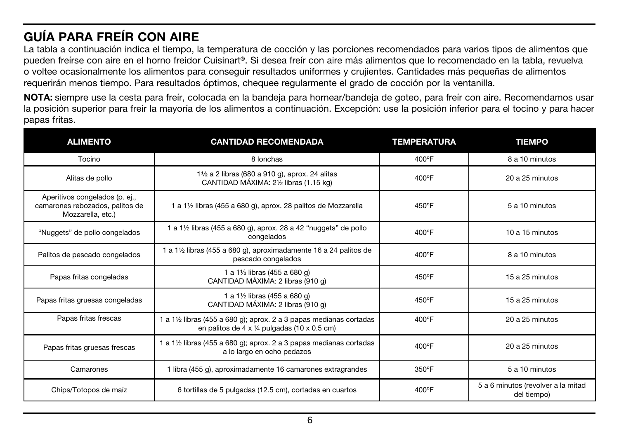## GUÍA PARA FREÍR CON AIRE

La tabla a continuación indica el tiempo, la temperatura de cocción y las porciones recomendados para varios tipos de alimentos que pueden freírse con aire en el horno freidor Cuisinart®. Si desea freír con aire más alimentos que lo recomendado en la tabla, revuelva o voltee ocasionalmente los alimentos para conseguir resultados uniformes y crujientes. Cantidades más pequeñas de alimentos requerirán menos tiempo. Para resultados óptimos, chequee regularmente el grado de cocción por la ventanilla.

NOTA: siempre use la cesta para freír, colocada en la bandeja para hornear/bandeja de goteo, para freír con aire. Recomendamos usar la posición superior para freír la mayoría de los alimentos a continuación. Excepción: use la posición inferior para el tocino y para hacer papas fritas.

| <b>ALIMENTO</b>                                                                               | <b>CANTIDAD RECOMENDADA</b>                                                                                       | <b>TEMPERATURA</b> | <b>TIEMPO</b>                                     |
|-----------------------------------------------------------------------------------------------|-------------------------------------------------------------------------------------------------------------------|--------------------|---------------------------------------------------|
| Tocino                                                                                        | 8 lonchas                                                                                                         | 400°F              | 8 a 10 minutos                                    |
| Alitas de pollo                                                                               | 11/2 a 2 libras (680 a 910 g), aprox. 24 alitas<br>CANTIDAD MÁXIMA: 21/2 libras (1.15 kg)                         | 400°F              | 20 a 25 minutos                                   |
| Aperitivos congelados (p. ej.,<br>camarones rebozados, palitos de<br>Mozzarella, etc.)        | 1 a 1½ libras (455 a 680 g), aprox. 28 palitos de Mozzarella                                                      |                    | 5 a 10 minutos                                    |
| "Nuggets" de pollo congelados                                                                 | 1 a 1½ libras (455 a 680 g), aprox. 28 a 42 "nuggets" de pollo<br>congelados                                      | $400^{\circ}$ F    | 10 a 15 minutos                                   |
| Palitos de pescado congelados                                                                 | a 1½ libras (455 a 680 g), aproximadamente 16 a 24 palitos de<br>pescado congelados                               | $400^{\circ}$ F    | 8 a 10 minutos                                    |
| 1 a 11/2 libras (455 a 680 g)<br>Papas fritas congeladas<br>CANTIDAD MÁXIMA: 2 libras (910 g) |                                                                                                                   | 450°F              | 15 a 25 minutos                                   |
| Papas fritas gruesas congeladas                                                               | 1 a 11/2 libras (455 a 680 g)<br>CANTIDAD MÁXIMA: 2 libras (910 g)                                                | 450°F              | 15 a 25 minutos                                   |
| Papas fritas frescas                                                                          | 1 a 1½ libras (455 a 680 g); aprox. 2 a 3 papas medianas cortadas<br>en palitos de 4 x 1/4 pulgadas (10 x 0.5 cm) | 400°F              | 20 a 25 minutos                                   |
| Papas fritas gruesas frescas                                                                  | 1 a 1½ libras (455 a 680 g); aprox. 2 a 3 papas medianas cortadas<br>a lo largo en ocho pedazos                   | 400°F              | 20 a 25 minutos                                   |
| Camarones                                                                                     | 1 libra (455 g), aproximadamente 16 camarones extragrandes                                                        | 350°F              | 5 a 10 minutos                                    |
| Chips/Totopos de maíz                                                                         | 6 tortillas de 5 pulgadas (12.5 cm), cortadas en cuartos                                                          | 400°F              | 5 a 6 minutos (revolver a la mitad<br>del tiempo) |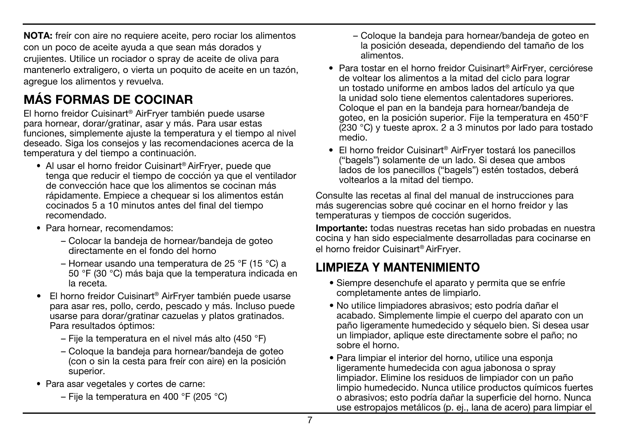NOTA: freír con aire no requiere aceite, pero rociar los alimentos con un poco de aceite ayuda a que sean más dorados y crujientes. Utilice un rociador o spray de aceite de oliva para mantenerlo extraligero, o vierta un poquito de aceite en un tazón, agregue los alimentos y revuelva.

## MÁS FORMAS DE COCINAR

El horno freidor Cuisinart® AirFryer también puede usarse para hornear, dorar/gratinar, asar y más. Para usar estas funciones, simplemente ajuste la temperatura y el tiempo al nivel deseado. Siga los consejos y las recomendaciones acerca de la temperatura y del tiempo a continuación.

- Al usar el horno freidor Cuisinart<sup>®</sup> AirFrver, puede que tenga que reducir el tiempo de cocción ya que el ventilador de convección hace que los alimentos se cocinan más rápidamente. Empiece a chequear si los alimentos están cocinados 5 a 10 minutos antes del final del tiempo recomendado.
- Para hornear, recomendamos:
	- Colocar la bandeja de hornear/bandeja de goteo directamente en el fondo del horno
	- Hornear usando una temperatura de 25 °F (15 °C) a 50 °F (30 °C) más baja que la temperatura indicada en la receta.
- El horno freidor Cuisinart® AirFryer también puede usarse para asar res, pollo, cerdo, pescado y más. Incluso puede usarse para dorar/gratinar cazuelas y platos gratinados. Para resultados óptimos:
	- Fije la temperatura en el nivel más alto (450 °F)
	- Coloque la bandeja para hornear/bandeja de goteo (con o sin la cesta para freír con aire) en la posición superior.
- Para asar vegetales y cortes de carne:
	- Fije la temperatura en 400 °F (205 °C)
- Coloque la bandeja para hornear/bandeja de goteo en la posición deseada, dependiendo del tamaño de los alimentos.
- Para tostar en el horno freidor Cuisinart® AirFryer, cerciórese de voltear los alimentos a la mitad del ciclo para lograr un tostado uniforme en ambos lados del artículo ya que la unidad solo tiene elementos calentadores superiores. Coloque el pan en la bandeja para hornear/bandeja de goteo, en la posición superior. Fije la temperatura en 450°F (230 °C) y tueste aprox. 2 a 3 minutos por lado para tostado medio.
- El horno freidor Cuisinart® AirFryer tostará los panecillos ("bagels") solamente de un lado. Si desea que ambos lados de los panecillos ("bagels") estén tostados, deberá voltearlos a la mitad del tiempo.

Consulte las recetas al final del manual de instrucciones para más sugerencias sobre qué cocinar en el horno freidor y las temperaturas y tiempos de cocción sugeridos.

Importante: todas nuestras recetas han sido probadas en nuestra cocina y han sido especialmente desarrolladas para cocinarse en el horno freidor Cuisinart® AirFryer.

## LIMPIEZA Y MANTENIMIENTO

- Siempre desenchufe el aparato y permita que se enfríe completamente antes de limpiarlo.
- No utilice limpiadores abrasivos; esto podría dañar el acabado. Simplemente limpie el cuerpo del aparato con un paño ligeramente humedecido y séquelo bien. Si desea usar un limpiador, aplique este directamente sobre el paño; no sobre el horno.
- Para limpiar el interior del horno, utilice una esponja ligeramente humedecida con agua jabonosa o spray limpiador. Elimine los residuos de limpiador con un paño limpio humedecido. Nunca utilice productos químicos fuertes o abrasivos; esto podría dañar la superficie del horno. Nunca use estropajos metálicos (p. ej., lana de acero) para limpiar el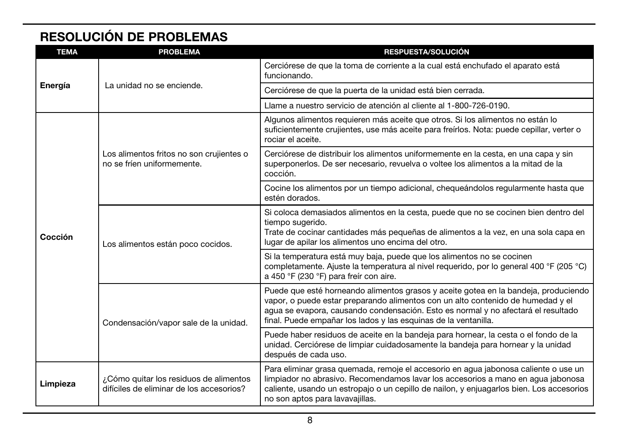## RESOLUCIÓN DE PROBLEMAS

| <b>TEMA</b>        | <b>PROBLEMA</b>                                                                    | <b>RESPUESTA/SOLUCIÓN</b>                                                                                                                                                                                                                                                                                                      |
|--------------------|------------------------------------------------------------------------------------|--------------------------------------------------------------------------------------------------------------------------------------------------------------------------------------------------------------------------------------------------------------------------------------------------------------------------------|
|                    |                                                                                    | Cerciórese de que la toma de corriente a la cual está enchufado el aparato está<br>funcionando.                                                                                                                                                                                                                                |
| Energía<br>Cocción | La unidad no se enciende.                                                          | Cerciórese de que la puerta de la unidad está bien cerrada.                                                                                                                                                                                                                                                                    |
|                    |                                                                                    | Llame a nuestro servicio de atención al cliente al 1-800-726-0190.                                                                                                                                                                                                                                                             |
|                    | Los alimentos fritos no son crujientes o<br>no se fríen uniformemente.             | Algunos alimentos requieren más aceite que otros. Si los alimentos no están lo<br>suficientemente crujientes, use más aceite para freírlos. Nota: puede cepillar, verter o<br>rociar el aceite.                                                                                                                                |
|                    |                                                                                    | Cerciórese de distribuir los alimentos uniformemente en la cesta, en una capa y sin<br>superponerlos. De ser necesario, revuelva o voltee los alimentos a la mitad de la<br>cocción.                                                                                                                                           |
|                    |                                                                                    | Cocine los alimentos por un tiempo adicional, chequeándolos regularmente hasta que<br>estén dorados.                                                                                                                                                                                                                           |
|                    | Los alimentos están poco cocidos.                                                  | Si coloca demasiados alimentos en la cesta, puede que no se cocinen bien dentro del<br>tiempo sugerido.<br>Trate de cocinar cantidades más pequeñas de alimentos a la vez, en una sola capa en<br>lugar de apilar los alimentos uno encima del otro.                                                                           |
|                    |                                                                                    | Si la temperatura está muy baja, puede que los alimentos no se cocinen<br>completamente. Ajuste la temperatura al nivel requerido, por lo general 400 °F (205 °C)<br>a 450 °F (230 °F) para freir con aire.                                                                                                                    |
|                    | Condensación/vapor sale de la unidad.                                              | Puede que esté horneando alimentos grasos y aceite gotea en la bandeja, produciendo<br>vapor, o puede estar preparando alimentos con un alto contenido de humedad y el<br>agua se evapora, causando condensación. Esto es normal y no afectará el resultado<br>final. Puede empañar los lados y las esquinas de la ventanilla. |
|                    |                                                                                    | Puede haber residuos de aceite en la bandeja para hornear, la cesta o el fondo de la<br>unidad. Cerciórese de limpiar cuidadosamente la bandeja para hornear y la unidad<br>después de cada uso.                                                                                                                               |
| Limpieza           | ¿Cómo quitar los residuos de alimentos<br>difíciles de eliminar de los accesorios? | Para eliminar grasa quemada, remoje el accesorio en agua jabonosa caliente o use un<br>limpiador no abrasivo. Recomendamos lavar los accesorios a mano en aqua jabonosa<br>caliente, usando un estropajo o un cepillo de nailon, y enjuagarlos bien. Los accesorios<br>no son aptos para lavavajillas.                         |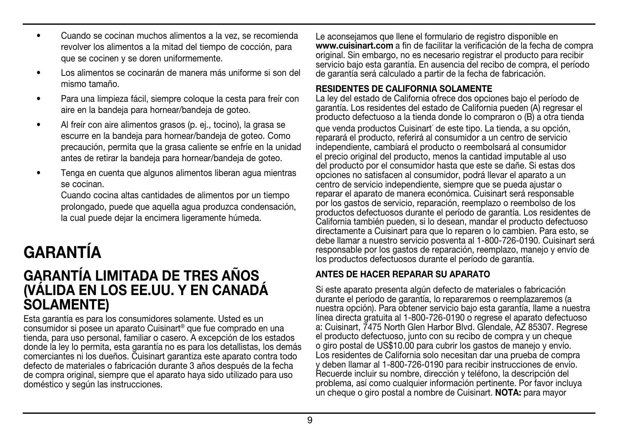- Cuando se cocinan muchos alimentos a la vez, se recomienda revolver los alimentos a la mitad del tiempo de cocción, para que se cocinen y se doren uniformemente.
- Los alimentos se cocinarán de manera más uniforme si son del mismo tamaño.
- Para una limpieza fácil, siempre coloque la cesta para freír con aire en la bandeja para hornear/bandeja de goteo.
- Al freír con aire alimentos grasos (p. ej., tocino), la grasa se escurre en la bandeja para hornear/bandeja de goteo. Como precaución, permita que la grasa caliente se enfríe en la unidad antes de retirar la bandeja para hornear/bandeja de goteo.
- Tenga en cuenta que algunos alimentos liberan agua mientras se cocinan.

Cuando cocina altas cantidades de alimentos por un tiempo prolongado, puede que aquella agua produzca condensación, la cual puede dejar la encimera ligeramente húmeda.

# GARANTÍA

## GARANTÍA LIMITADA DE TRES AÑOS (VÁLIDA EN LOS EE.UU. Y EN CANADÁ SOLAMENTE)

Esta garantía es para los consumidores solamente. Usted es un consumidor si posee un aparato Cuisinart® que fue comprado en una tienda, para uso personal, familiar o casero. A excepción de los estados donde la ley lo permita, esta garantía no es para los detallistas, los demás comerciantes ni los dueños. Cuisinart garantiza este aparato contra todo defecto de materiales o fabricación durante 3 años después de la fecha de compra original, siempre que el aparato haya sido utilizado para uso doméstico y según las instrucciones.

Le aconsejamos que llene el formulario de registro disponible en www.cuisinart.com a fin de facilitar la verificación de la fecha de compra original. Sin embargo, no es necesario registrar el producto para recibir servicio bajo esta garantía. En ausencia del recibo de compra, el período de garantía será calculado a partir de la fecha de fabricación.

#### RESIDENTES DE CALIFORNIA SOLAMENTE

La ley del estado de California ofrece dos opciones bajo el período de garantía. Los residentes del estado de California pueden (A) regresar el producto defectuoso a la tienda donde lo compraron o (B) a otra tienda que venda productos Cuisinart<sup>®</sup> de este tipo. La tienda, a su opción, reparará el producto, referirá al consumidor a un centro de servicio independiente, cambiará el producto o reembolsará al consumidor el precio original del producto, menos la cantidad imputable al uso del producto por el consumidor hasta que este se dañe. Si estas dos opciones no satisfacen al consumidor, podrá llevar el aparato a un centro de servicio independiente, siempre que se pueda ajustar o reparar el aparato de manera económica. Cuisinart será responsable por los gastos de servicio, reparación, reemplazo o reembolso de los productos defectuosos durante el período de garantía. Los residentes de California también pueden, si lo desean, mandar el producto defectuoso directamente a Cuisinart para que lo reparen o lo cambien. Para esto, se debe llamar a nuestro servicio posventa al 1-800-726-0190. Cuisinart será responsable por los gastos de reparación, reemplazo, manejo y envío de los productos defectuosos durante el período de garantía.

#### ANTES DE HACER REPARAR SU APARATO

Si este aparato presenta algún defecto de materiales o fabricación durante el período de garantía, lo repararemos o reemplazaremos (a nuestra opción). Para obtener servicio bajo esta garantía, llame a nuestra línea directa gratuita al 1-800-726-0190 o regrese el aparato defectuoso a: Cuisinart, 7475 North Glen Harbor Blvd. Glendale, AZ 85307. Regrese el producto defectuoso, junto con su recibo de compra y un cheque o giro postal de US\$10.00 para cubrir los gastos de manejo y envío. Los residentes de California solo necesitan dar una prueba de compra y deben llamar al 1-800-726-0190 para recibir instrucciones de envío. Recuerde incluir su nombre, dirección y teléfono, la descripción del problema, así como cualquier información pertinente. Por favor incluya un cheque o giro postal a nombre de Cuisinart. NOTA: para mayor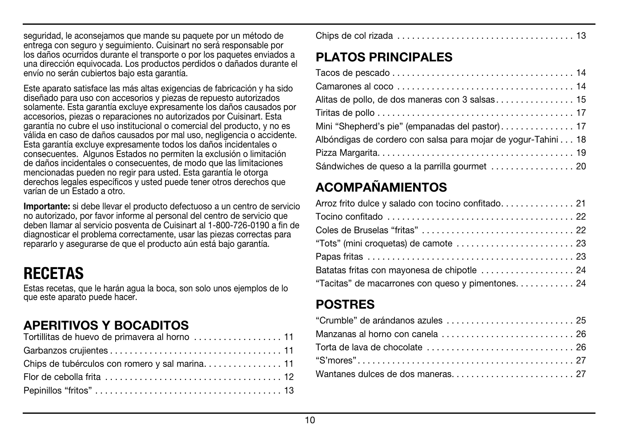seguridad, le aconsejamos que mande su paquete por un método de entrega con seguro y seguimiento. Cuisinart no será responsable por los daños ocurridos durante el transporte o por los paquetes enviados a una dirección equivocada. Los productos perdidos o dañados durante el envío no serán cubiertos bajo esta garantía.

Este aparato satisface las más altas exigencias de fabricación y ha sido diseñado para uso con accesorios y piezas de repuesto autorizados solamente. Esta garantía excluye expresamente los daños causados por accesorios, piezas o reparaciones no autorizados por Cuisinart. Esta garantía no cubre el uso institucional o comercial del producto, y no es válida en caso de daños causados por mal uso, negligencia o accidente. Esta garantía excluye expresamente todos los daños incidentales o consecuentes. Algunos Estados no permiten la exclusión o limitación de daños incidentales o consecuentes, de modo que las limitaciones mencionadas pueden no regir para usted. Esta garantía le otorga derechos legales específicos y usted puede tener otros derechos que varían de un Estado a otro.

Importante: si debe llevar el producto defectuoso a un centro de servicio no autorizado, por favor informe al personal del centro de servicio que deben llamar al servicio posventa de Cuisinart al 1-800-726-0190 a fin de diagnosticar el problema correctamente, usar las piezas correctas para repararlo y asegurarse de que el producto aún está bajo garantía.

## RECETAS

Estas recetas, que le harán agua la boca, son solo unos ejemplos de lo que este aparato puede hacer.

## APERITIVOS Y BOCADITOS

|--|

## PLATOS PRINCIPALES

| Alitas de pollo, de dos maneras con 3 salsas 15               |
|---------------------------------------------------------------|
|                                                               |
| Mini "Shepherd's pie" (empanadas del pastor) 17               |
| Albóndigas de cordero con salsa para mojar de yogur-Tahini 18 |
|                                                               |
|                                                               |

## ACOMPAÑAMIENTOS

| Batatas fritas con mayonesa de chipotle  24       |  |
|---------------------------------------------------|--|
| "Tacitas" de macarrones con queso y pimentones 24 |  |

## **POSTRES**

| "Crumble" de arándanos azules  25                            |  |
|--------------------------------------------------------------|--|
|                                                              |  |
| Torta de lava de chocolate ...............................26 |  |
|                                                              |  |
|                                                              |  |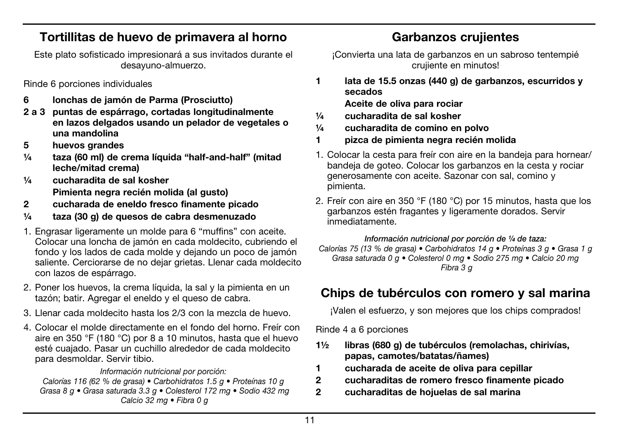### Tortillitas de huevo de primavera al horno

Este plato sofisticado impresionará a sus invitados durante el desayuno-almuerzo.

Rinde 6 porciones individuales

- 6 lonchas de jamón de Parma (Prosciutto)
- 2 a 3 puntas de espárrago, cortadas longitudinalmente en lazos delgados usando un pelador de vegetales o una mandolina
- 5 huevos grandes
- ¼ taza (60 ml) de crema líquida "half-and-half" (mitad leche/mitad crema)
- ¼ cucharadita de sal kosher Pimienta negra recién molida (al gusto)
- 2 cucharada de eneldo fresco finamente picado
- ¼ taza (30 g) de quesos de cabra desmenuzado
- 1. Engrasar ligeramente un molde para 6 "muffins" con aceite. Colocar una loncha de jamón en cada moldecito, cubriendo el fondo y los lados de cada molde y dejando un poco de jamón saliente. Cerciorarse de no dejar grietas. Llenar cada moldecito con lazos de espárrago.
- 2. Poner los huevos, la crema líquida, la sal y la pimienta en un tazón; batir. Agregar el eneldo y el queso de cabra.
- 3. Llenar cada moldecito hasta los 2/3 con la mezcla de huevo.
- 4. Colocar el molde directamente en el fondo del horno. Freír con aire en 350 °F (180 °C) por 8 a 10 minutos, hasta que el huevo esté cuajado. Pasar un cuchillo alrededor de cada moldecito para desmoldar. Servir tibio.

#### *Información nutricional por porción:*

*Calorías 116 (62 % de grasa) • Carbohidratos 1.5 g • Proteínas 10 g Grasa 8 g • Grasa saturada 3.3 g • Colesterol 172 mg • Sodio 432 mg Calcio 32 mg • Fibra 0 g*

## Garbanzos crujientes

¡Convierta una lata de garbanzos en un sabroso tentempié crujiente en minutos!

1 lata de 15.5 onzas (440 g) de garbanzos, escurridos y secados

Aceite de oliva para rociar

- ¼ cucharadita de sal kosher
- ¼ cucharadita de comino en polvo
- 1 pizca de pimienta negra recién molida
- 1. Colocar la cesta para freír con aire en la bandeja para hornear/ bandeja de goteo. Colocar los garbanzos en la cesta y rociar generosamente con aceite. Sazonar con sal, comino y pimienta.
- 2. Freír con aire en 350 °F (180 °C) por 15 minutos, hasta que los garbanzos estén fragantes y ligeramente dorados. Servir inmediatamente.

*Información nutricional por porción de ¼ de taza: Calorías 75 (13 % de grasa) • Carbohidratos 14 g • Proteínas 3 g • Grasa 1 g Grasa saturada 0 g • Colesterol 0 mg • Sodio 275 mg • Calcio 20 mg Fibra 3 g*

## Chips de tubérculos con romero y sal marina

¡Valen el esfuerzo, y son mejores que los chips comprados!

Rinde 4 a 6 porciones

- 1½ libras (680 g) de tubérculos (remolachas, chirivías, papas, camotes/batatas/ñames)
- 1 cucharada de aceite de oliva para cepillar
- 2 cucharaditas de romero fresco finamente picado
- 2 cucharaditas de hojuelas de sal marina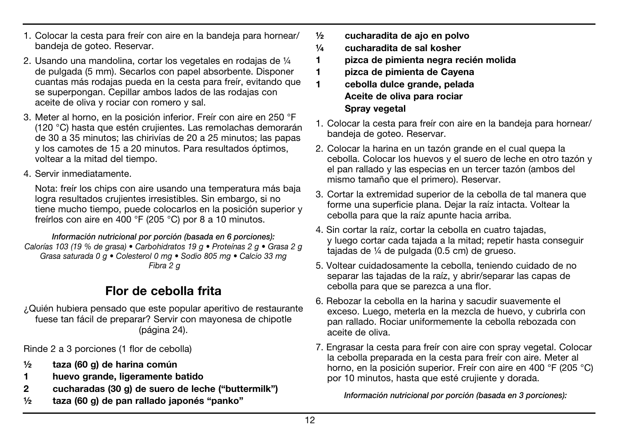- 1. Colocar la cesta para freír con aire en la bandeja para hornear/ bandeja de goteo. Reservar.
- 2. Usando una mandolina, cortar los vegetales en rodajas de ¼ de pulgada (5 mm). Secarlos con papel absorbente. Disponer cuantas más rodajas pueda en la cesta para freír, evitando que se superpongan. Cepillar ambos lados de las rodajas con aceite de oliva y rociar con romero y sal.
- 3. Meter al horno, en la posición inferior. Freír con aire en 250 °F (120 °C) hasta que estén crujientes. Las remolachas demorarán de 30 a 35 minutos; las chirivías de 20 a 25 minutos; las papas y los camotes de 15 a 20 minutos. Para resultados óptimos, voltear a la mitad del tiempo.
- 4. Servir inmediatamente.

Nota: freír los chips con aire usando una temperatura más baja logra resultados crujientes irresistibles. Sin embargo, si no tiene mucho tiempo, puede colocarlos en la posición superior y freírlos con aire en 400 °F (205 °C) por 8 a 10 minutos.

*Información nutricional por porción (basada en 6 porciones): Calorías 103 (19 % de grasa) • Carbohidratos 19 g • Proteínas 2 g • Grasa 2 g Grasa saturada 0 g • Colesterol 0 mg • Sodio 805 mg • Calcio 33 mg Fibra 2 g*

## Flor de cebolla frita

¿Quién hubiera pensado que este popular aperitivo de restaurante fuese tan fácil de preparar? Servir con mayonesa de chipotle (página 24).

Rinde 2 a 3 porciones (1 flor de cebolla)

- ½ taza (60 g) de harina común
- 1 huevo grande, ligeramente batido
- 2 cucharadas (30 g) de suero de leche ("buttermilk")
- ½ taza (60 g) de pan rallado japonés "panko"
- ½ cucharadita de ajo en polvo
- ¼ cucharadita de sal kosher
- 1 pizca de pimienta negra recién molida
- 1 pizca de pimienta de Cayena
- 1 cebolla dulce grande, pelada Aceite de oliva para rociar Spray vegetal
- 1. Colocar la cesta para freír con aire en la bandeja para hornear/ bandeja de goteo. Reservar.
- 2. Colocar la harina en un tazón grande en el cual quepa la cebolla. Colocar los huevos y el suero de leche en otro tazón y el pan rallado y las especias en un tercer tazón (ambos del mismo tamaño que el primero). Reservar.
- 3. Cortar la extremidad superior de la cebolla de tal manera que forme una superficie plana. Dejar la raíz intacta. Voltear la cebolla para que la raíz apunte hacia arriba.
- 4. Sin cortar la raíz, cortar la cebolla en cuatro tajadas, y luego cortar cada tajada a la mitad; repetir hasta conseguir tajadas de ¼ de pulgada (0.5 cm) de grueso.
- 5. Voltear cuidadosamente la cebolla, teniendo cuidado de no separar las tajadas de la raíz, y abrir/separar las capas de cebolla para que se parezca a una flor.
- 6. Rebozar la cebolla en la harina y sacudir suavemente el exceso. Luego, meterla en la mezcla de huevo, y cubrirla con pan rallado. Rociar uniformemente la cebolla rebozada con aceite de oliva.
- 7. Engrasar la cesta para freír con aire con spray vegetal. Colocar la cebolla preparada en la cesta para freír con aire. Meter al horno, en la posición superior. Freír con aire en 400 °F (205 °C) por 10 minutos, hasta que esté crujiente y dorada.

*Información nutricional por porción (basada en 3 porciones):*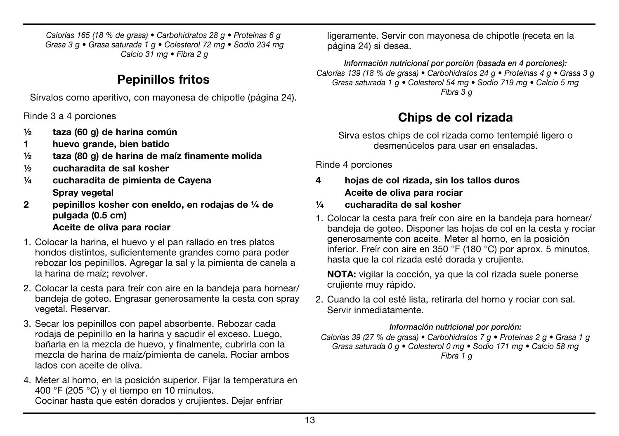*Calorías 165 (18 % de grasa) • Carbohidratos 28 g • Proteínas 6 g Grasa 3 g • Grasa saturada 1 g • Colesterol 72 mg • Sodio 234 mg Calcio 31 mg • Fibra 2 g*

## Pepinillos fritos

Sírvalos como aperitivo, con mayonesa de chipotle (página 24).

Rinde 3 a 4 porciones

- ½ taza (60 g) de harina común
- 1 huevo grande, bien batido
- ½ taza (80 g) de harina de maíz finamente molida
- ½ cucharadita de sal kosher
- ¼ cucharadita de pimienta de Cayena Spray vegetal
- 2 pepinillos kosher con eneldo, en rodajas de ¼ de pulgada (0.5 cm) Aceite de oliva para rociar
- 1. Colocar la harina, el huevo y el pan rallado en tres platos hondos distintos, suficientemente grandes como para poder rebozar los pepinillos. Agregar la sal y la pimienta de canela a la harina de maíz; revolver.
- 2. Colocar la cesta para freír con aire en la bandeja para hornear/ bandeja de goteo. Engrasar generosamente la cesta con spray vegetal. Reservar.
- 3. Secar los pepinillos con papel absorbente. Rebozar cada rodaja de pepinillo en la harina y sacudir el exceso. Luego, bañarla en la mezcla de huevo, y finalmente, cubrirla con la mezcla de harina de maíz/pimienta de canela. Rociar ambos lados con aceite de oliva.
- 4. Meter al horno, en la posición superior. Fijar la temperatura en 400 °F (205 °C) y el tiempo en 10 minutos. Cocinar hasta que estén dorados y crujientes. Dejar enfriar

ligeramente. Servir con mayonesa de chipotle (receta en la página 24) si desea.

*Información nutricional por porción (basada en 4 porciones): Calorías 139 (18 % de grasa) • Carbohidratos 24 g • Proteínas 4 g • Grasa 3 g Grasa saturada 1 g • Colesterol 54 mg • Sodio 719 mg • Calcio 5 mg Fibra 3 g*

## Chips de col rizada

Sirva estos chips de col rizada como tentempié ligero o desmenúcelos para usar en ensaladas.

Rinde 4 porciones

- 4 hojas de col rizada, sin los tallos duros Aceite de oliva para rociar
- ¼ cucharadita de sal kosher
- 1. Colocar la cesta para freír con aire en la bandeja para hornear/ bandeja de goteo. Disponer las hojas de col en la cesta y rociar generosamente con aceite. Meter al horno, en la posición inferior. Freír con aire en 350 °F (180 °C) por aprox. 5 minutos, hasta que la col rizada esté dorada y crujiente.

NOTA: vigilar la cocción, ya que la col rizada suele ponerse crujiente muy rápido.

2. Cuando la col esté lista, retirarla del horno y rociar con sal. Servir inmediatamente.

#### *Información nutricional por porción:*

*Calorías 39 (27 % de grasa) • Carbohidratos 7 g • Proteínas 2 g • Grasa 1 g Grasa saturada 0 g • Colesterol 0 mg • Sodio 171 mg • Calcio 58 mg Fibra 1 g*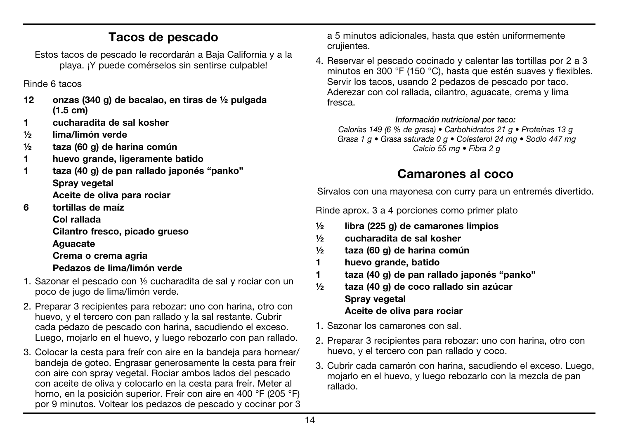### Tacos de pescado

Estos tacos de pescado le recordarán a Baja California y a la playa. ¡Y puede comérselos sin sentirse culpable!

Rinde 6 tacos

- 12 onzas (340 g) de bacalao, en tiras de ½ pulgada (1.5 cm)
- 1 cucharadita de sal kosher
- ½ lima/limón verde
- ½ taza (60 g) de harina común
- 1 huevo grande, ligeramente batido
- 1 taza (40 g) de pan rallado japonés "panko" Spray vegetal Aceite de oliva para rociar
- 6 tortillas de maíz

Col rallada

Cilantro fresco, picado grueso Aguacate

Crema o crema agria

- Pedazos de lima/limón verde
- 1. Sazonar el pescado con ½ cucharadita de sal y rociar con un poco de jugo de lima/limón verde.
- 2. Preparar 3 recipientes para rebozar: uno con harina, otro con huevo, y el tercero con pan rallado y la sal restante. Cubrir cada pedazo de pescado con harina, sacudiendo el exceso. Luego, mojarlo en el huevo, y luego rebozarlo con pan rallado.
- 3. Colocar la cesta para freír con aire en la bandeja para hornear/ bandeja de goteo. Engrasar generosamente la cesta para freír con aire con spray vegetal. Rociar ambos lados del pescado con aceite de oliva y colocarlo en la cesta para freír. Meter al horno, en la posición superior. Freír con aire en 400 °F (205 °F) por 9 minutos. Voltear los pedazos de pescado y cocinar por 3

a 5 minutos adicionales, hasta que estén uniformemente crujientes.

4. Reservar el pescado cocinado y calentar las tortillas por 2 a 3 minutos en 300 °F (150 °C), hasta que estén suaves y flexibles. Servir los tacos, usando 2 pedazos de pescado por taco. Aderezar con col rallada, cilantro, aguacate, crema y lima fresca.

*Información nutricional por taco:*

*Calorías 149 (6 % de grasa) • Carbohidratos 21 g • Proteínas 13 g Grasa 1 g • Grasa saturada 0 g • Colesterol 24 mg • Sodio 447 mg Calcio 55 mg • Fibra 2 g*

## Camarones al coco

Sírvalos con una mayonesa con curry para un entremés divertido.

Rinde aprox. 3 a 4 porciones como primer plato

- ½ libra (225 g) de camarones limpios
- ½ cucharadita de sal kosher
- ½ taza (60 g) de harina común
- 1 huevo grande, batido
- 1 taza (40 g) de pan rallado japonés "panko"
- ½ taza (40 g) de coco rallado sin azúcar Spray vegetal Aceite de oliva para rociar
- 1. Sazonar los camarones con sal.
- 2. Preparar 3 recipientes para rebozar: uno con harina, otro con huevo, y el tercero con pan rallado y coco.
- 3. Cubrir cada camarón con harina, sacudiendo el exceso. Luego, mojarlo en el huevo, y luego rebozarlo con la mezcla de pan rallado.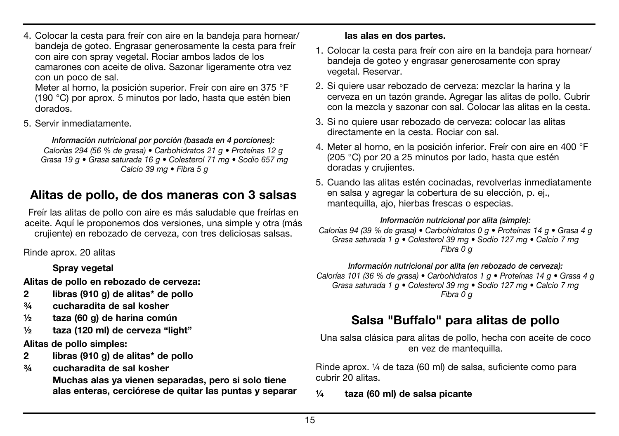4. Colocar la cesta para freír con aire en la bandeja para hornear/ bandeja de goteo. Engrasar generosamente la cesta para freír con aire con spray vegetal. Rociar ambos lados de los camarones con aceite de oliva. Sazonar ligeramente otra vez con un poco de sal.

Meter al horno, la posición superior. Freír con aire en 375 °F (190 °C) por aprox. 5 minutos por lado, hasta que estén bien dorados.

5. Servir inmediatamente.

*Información nutricional por porción (basada en 4 porciones): Calorías 294 (56 % de grasa) • Carbohidratos 21 g • Proteínas 12 g Grasa 19 g • Grasa saturada 16 g • Colesterol 71 mg • Sodio 657 mg Calcio 39 mg • Fibra 5 g*

## Alitas de pollo, de dos maneras con 3 salsas

Freír las alitas de pollo con aire es más saludable que freírlas en aceite. Aquí le proponemos dos versiones, una simple y otra (más crujiente) en rebozado de cerveza, con tres deliciosas salsas.

Rinde aprox. 20 alitas

#### Spray vegetal

Alitas de pollo en rebozado de cerveza:

- 2 libras (910 g) de alitas\* de pollo
- ¾ cucharadita de sal kosher
- ½ taza (60 g) de harina común
- ½ taza (120 ml) de cerveza "light"

Alitas de pollo simples:

- 2 libras (910 g) de alitas\* de pollo
- ¾ cucharadita de sal kosher

 Muchas alas ya vienen separadas, pero si solo tiene alas enteras, cerciórese de quitar las puntas y separar

#### las alas en dos partes.

- 1. Colocar la cesta para freír con aire en la bandeja para hornear/ bandeja de goteo y engrasar generosamente con spray vegetal. Reservar.
- 2. Si quiere usar rebozado de cerveza: mezclar la harina y la cerveza en un tazón grande. Agregar las alitas de pollo. Cubrir con la mezcla y sazonar con sal. Colocar las alitas en la cesta.
- 3. Si no quiere usar rebozado de cerveza: colocar las alitas directamente en la cesta. Rociar con sal.
- 4. Meter al horno, en la posición inferior. Freír con aire en 400 °F (205 °C) por 20 a 25 minutos por lado, hasta que estén doradas y crujientes.
- 5. Cuando las alitas estén cocinadas, revolverlas inmediatamente en salsa y agregar la cobertura de su elección, p. ej., mantequilla, ajo, hierbas frescas o especias.

#### *Información nutricional por alita (simple):*

*Calorías 94 (39 % de grasa) • Carbohidratos 0 g • Proteínas 14 g • Grasa 4 g Grasa saturada 1 g • Colesterol 39 mg • Sodio 127 mg • Calcio 7 mg Fibra 0 g*

*Información nutricional por alita (en rebozado de cerveza):*

*Calorías 101 (36 % de grasa) • Carbohidratos 1 g • Proteínas 14 g • Grasa 4 g Grasa saturada 1 g • Colesterol 39 mg • Sodio 127 mg • Calcio 7 mg Fibra 0 g*

## Salsa "Buffalo" para alitas de pollo

Una salsa clásica para alitas de pollo, hecha con aceite de coco en vez de mantequilla.

Rinde aprox. ¼ de taza (60 ml) de salsa, suficiente como para cubrir 20 alitas.

¼ taza (60 ml) de salsa picante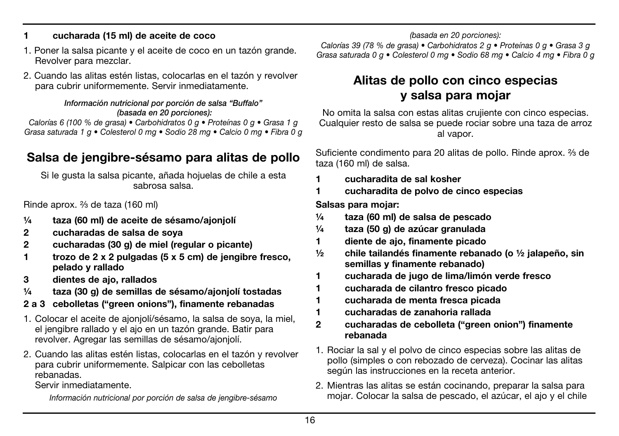#### 1 cucharada (15 ml) de aceite de coco

- 1. Poner la salsa picante y el aceite de coco en un tazón grande. Revolver para mezclar.
- 2. Cuando las alitas estén listas, colocarlas en el tazón y revolver para cubrir uniformemente. Servir inmediatamente.

#### *Información nutricional por porción de salsa "Buffalo" (basada en 20 porciones):*

*Calorías 6 (100 % de grasa) • Carbohidratos 0 g • Proteínas 0 g • Grasa 1 g Grasa saturada 1 g • Colesterol 0 mg • Sodio 28 mg • Calcio 0 mg • Fibra 0 g*

## Salsa de jengibre-sésamo para alitas de pollo

Si le gusta la salsa picante, añada hojuelas de chile a esta sabrosa salsa.

Rinde aprox. ²∕³ de taza (160 ml)

- ¼ taza (60 ml) de aceite de sésamo/ajonjolí
- 2 cucharadas de salsa de soya
- 2 cucharadas (30 g) de miel (regular o picante)
- 1 trozo de 2 x 2 pulgadas (5 x 5 cm) de jengibre fresco, pelado y rallado
- 3 dientes de ajo, rallados
- ¼ taza (30 g) de semillas de sésamo/ajonjolí tostadas
- 2 a 3 cebolletas ("green onions"), finamente rebanadas
- 1. Colocar el aceite de ajonjolí/sésamo, la salsa de soya, la miel, el jengibre rallado y el ajo en un tazón grande. Batir para revolver. Agregar las semillas de sésamo/ajonjolí.
- 2. Cuando las alitas estén listas, colocarlas en el tazón y revolver para cubrir uniformemente. Salpicar con las cebolletas rebanadas.

Servir inmediatamente.

*Información nutricional por porción de salsa de jengibre-sésamo* 

*(basada en 20 porciones): Calorías 39 (78 % de grasa) • Carbohidratos 2 g • Proteínas 0 g • Grasa 3 g* 

*Grasa saturada 0 g • Colesterol 0 mg • Sodio 68 mg • Calcio 4 mg • Fibra 0 g*

## Alitas de pollo con cinco especias y salsa para mojar

No omita la salsa con estas alitas crujiente con cinco especias. Cualquier resto de salsa se puede rociar sobre una taza de arroz al vapor.

Suficiente condimento para 20 alitas de pollo. Rinde aprox. <sup>2</sup>/<sub>3</sub> de taza (160 ml) de salsa.

- 1 cucharadita de sal kosher
- 1 cucharadita de polvo de cinco especias

Salsas para mojar:

- ¼ taza (60 ml) de salsa de pescado
- ¼ taza (50 g) de azúcar granulada
- 1 diente de ajo, finamente picado
- $\frac{1}{2}$  chile tailandés finamente rebanado (o  $\frac{1}{2}$  ialapeño, sin semillas y finamente rebanado)
- 1 cucharada de jugo de lima/limón verde fresco
- 1 cucharada de cilantro fresco picado
- 1 cucharada de menta fresca picada
- 1 cucharadas de zanahoria rallada
- 2 cucharadas de cebolleta ("green onion") finamente rebanada
- 1. Rociar la sal y el polvo de cinco especias sobre las alitas de pollo (simples o con rebozado de cerveza). Cocinar las alitas según las instrucciones en la receta anterior.
- 2. Mientras las alitas se están cocinando, preparar la salsa para mojar. Colocar la salsa de pescado, el azúcar, el ajo y el chile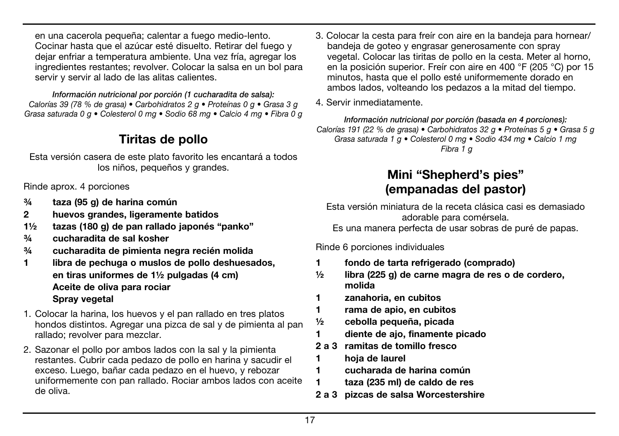en una cacerola pequeña; calentar a fuego medio-lento. Cocinar hasta que el azúcar esté disuelto. Retirar del fuego y dejar enfriar a temperatura ambiente. Una vez fría, agregar los ingredientes restantes; revolver. Colocar la salsa en un bol para servir y servir al lado de las alitas calientes.

*Información nutricional por porción (1 cucharadita de salsa): Calorías 39 (78 % de grasa) • Carbohidratos 2 g • Proteínas 0 g • Grasa 3 g Grasa saturada 0 g • Colesterol 0 mg • Sodio 68 mg • Calcio 4 mg • Fibra 0 g*

## Tiritas de pollo

Esta versión casera de este plato favorito les encantará a todos los niños, pequeños y grandes.

Rinde aprox. 4 porciones

- ¾ taza (95 g) de harina común
- 2 huevos grandes, ligeramente batidos
- 1½ tazas (180 g) de pan rallado japonés "panko"
- ¾ cucharadita de sal kosher
- ¾ cucharadita de pimienta negra recién molida
- 1 libra de pechuga o muslos de pollo deshuesados, en tiras uniformes de 1½ pulgadas (4 cm) Aceite de oliva para rociar Spray vegetal
- 1. Colocar la harina, los huevos y el pan rallado en tres platos hondos distintos. Agregar una pizca de sal y de pimienta al pan rallado; revolver para mezclar.
- 2. Sazonar el pollo por ambos lados con la sal y la pimienta restantes. Cubrir cada pedazo de pollo en harina y sacudir el exceso. Luego, bañar cada pedazo en el huevo, y rebozar uniformemente con pan rallado. Rociar ambos lados con aceite de oliva.
- 3. Colocar la cesta para freír con aire en la bandeja para hornear/ bandeja de goteo y engrasar generosamente con spray vegetal. Colocar las tiritas de pollo en la cesta. Meter al horno, en la posición superior. Freír con aire en 400 °F (205 °C) por 15 minutos, hasta que el pollo esté uniformemente dorado en ambos lados, volteando los pedazos a la mitad del tiempo.
- 4. Servir inmediatamente.

*Información nutricional por porción (basada en 4 porciones): Calorías 191 (22 % de grasa) • Carbohidratos 32 g • Proteínas 5 g • Grasa 5 g Grasa saturada 1 g • Colesterol 0 mg • Sodio 434 mg • Calcio 1 mg Fibra 1 g*

## Mini "Shepherd's pies" (empanadas del pastor)

Esta versión miniatura de la receta clásica casi es demasiado adorable para comérsela.

Es una manera perfecta de usar sobras de puré de papas.

Rinde 6 porciones individuales

- 1 fondo de tarta refrigerado (comprado)
- $\frac{1}{2}$  libra (225 g) de carne magra de res o de cordero, molida
- 1 zanahoria, en cubitos
- 1 rama de apio, en cubitos
- ½ cebolla pequeña, picada
- 1 diente de ajo, finamente picado
- 2 a 3 ramitas de tomillo fresco
- 1 hoja de laurel
- 1 cucharada de harina común
- 1 taza (235 ml) de caldo de res
- 2 a 3 pizcas de salsa Worcestershire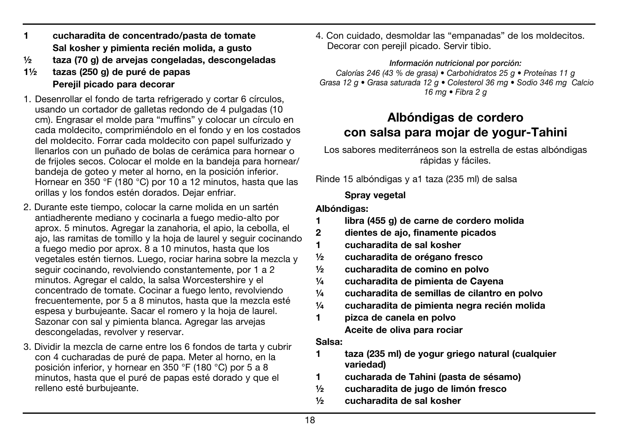- 1 cucharadita de concentrado/pasta de tomate Sal kosher y pimienta recién molida, a gusto
- ½ taza (70 g) de arvejas congeladas, descongeladas
- 1½ tazas (250 g) de puré de papas Pereiil picado para decorar
- 1. Desenrollar el fondo de tarta refrigerado y cortar 6 círculos, usando un cortador de galletas redondo de 4 pulgadas (10 cm). Engrasar el molde para "muffins" y colocar un círculo en cada moldecito, comprimiéndolo en el fondo y en los costados del moldecito. Forrar cada moldecito con papel sulfurizado y llenarlos con un puñado de bolas de cerámica para hornear o de frijoles secos. Colocar el molde en la bandeja para hornear/ bandeja de goteo y meter al horno, en la posición inferior. Hornear en 350 °F (180 °C) por 10 a 12 minutos, hasta que las orillas y los fondos estén dorados. Dejar enfriar.
- 2. Durante este tiempo, colocar la carne molida en un sartén antiadherente mediano y cocinarla a fuego medio-alto por aprox. 5 minutos. Agregar la zanahoria, el apio, la cebolla, el ajo, las ramitas de tomillo y la hoja de laurel y seguir cocinando a fuego medio por aprox. 8 a 10 minutos, hasta que los vegetales estén tiernos. Luego, rociar harina sobre la mezcla y seguir cocinando, revolviendo constantemente, por 1 a 2 minutos. Agregar el caldo, la salsa Worcestershire y el concentrado de tomate. Cocinar a fuego lento, revolviendo frecuentemente, por 5 a 8 minutos, hasta que la mezcla esté espesa y burbujeante. Sacar el romero y la hoja de laurel. Sazonar con sal y pimienta blanca. Agregar las arvejas descongeladas, revolver y reservar.
- 3. Dividir la mezcla de carne entre los 6 fondos de tarta y cubrir con 4 cucharadas de puré de papa. Meter al horno, en la posición inferior, y hornear en 350 °F (180 °C) por 5 a 8 minutos, hasta que el puré de papas esté dorado y que el relleno esté burbujeante.

4. Con cuidado, desmoldar las "empanadas" de los moldecitos. Decorar con perejil picado. Servir tibio.

#### *Información nutricional por porción:*

*Calorías 246 (43 % de grasa) • Carbohidratos 25 g • Proteínas 11 g Grasa 12 g • Grasa saturada 12 g • Colesterol 36 mg • Sodio 346 mg Calcio 16 mg • Fibra 2 g*

### Albóndigas de cordero con salsa para mojar de yogur-Tahini

Los sabores mediterráneos son la estrella de estas albóndigas rápidas y fáciles.

Rinde 15 albóndigas y a1 taza (235 ml) de salsa

#### Spray vegetal

#### Albóndigas:

- 1 libra (455 g) de carne de cordero molida
- 2 dientes de ajo, finamente picados
- 1 cucharadita de sal kosher
- ½ cucharadita de orégano fresco
- ½ cucharadita de comino en polvo
- ¼ cucharadita de pimienta de Cayena
- $\frac{1}{4}$  cucharadita de semillas de cilantro en polvo
- ¼ cucharadita de pimienta negra recién molida
- 1 pizca de canela en polvo Aceite de oliva para rociar

#### Salsa:

- 1 taza (235 ml) de yogur griego natural (cualquier variedad)
- 1 cucharada de Tahini (pasta de sésamo)
- ½ cucharadita de jugo de limón fresco
- ½ cucharadita de sal kosher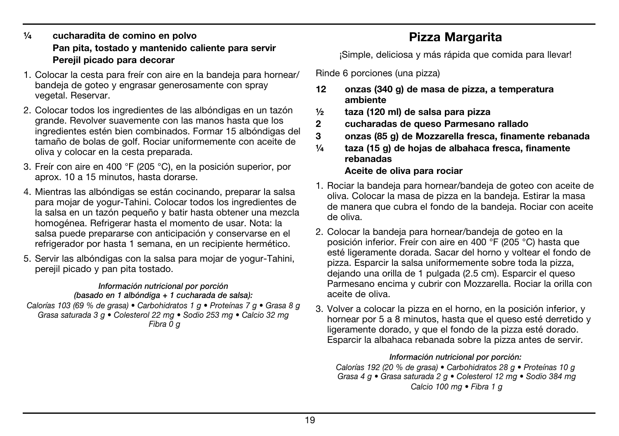#### ¼ cucharadita de comino en polvo Pan pita, tostado y mantenido caliente para servir Perejil picado para decorar

- 1. Colocar la cesta para freír con aire en la bandeja para hornear/ bandeja de goteo y engrasar generosamente con spray vegetal. Reservar.
- 2. Colocar todos los ingredientes de las albóndigas en un tazón grande. Revolver suavemente con las manos hasta que los ingredientes estén bien combinados. Formar 15 albóndigas del tamaño de bolas de golf. Rociar uniformemente con aceite de oliva y colocar en la cesta preparada.
- 3. Freír con aire en 400 °F (205 °C), en la posición superior, por aprox. 10 a 15 minutos, hasta dorarse.
- 4. Mientras las albóndigas se están cocinando, preparar la salsa para mojar de yogur-Tahini. Colocar todos los ingredientes de la salsa en un tazón pequeño y batir hasta obtener una mezcla homogénea. Refrigerar hasta el momento de usar. Nota: la salsa puede prepararse con anticipación y conservarse en el refrigerador por hasta 1 semana, en un recipiente hermético.
- 5. Servir las albóndigas con la salsa para mojar de yogur-Tahini, perejil picado y pan pita tostado.

#### *Información nutricional por porción*

*(basado en 1 albóndiga + 1 cucharada de salsa): Calorías 103 (69 % de grasa) • Carbohidratos 1 g • Proteínas 7 g • Grasa 8 g Grasa saturada 3 g • Colesterol 22 mg • Sodio 253 mg • Calcio 32 mg Fibra 0 g*

## Pizza Margarita

¡Simple, deliciosa y más rápida que comida para llevar!

Rinde 6 porciones (una pizza)

- 12 onzas (340 g) de masa de pizza, a temperatura ambiente
- ½ taza (120 ml) de salsa para pizza
- 2 cucharadas de queso Parmesano rallado
- 3 onzas (85 g) de Mozzarella fresca, finamente rebanada
- ¼ taza (15 g) de hojas de albahaca fresca, finamente rebanadas

#### Aceite de oliva para rociar

- 1. Rociar la bandeja para hornear/bandeja de goteo con aceite de oliva. Colocar la masa de pizza en la bandeja. Estirar la masa de manera que cubra el fondo de la bandeja. Rociar con aceite de oliva.
- 2. Colocar la bandeja para hornear/bandeja de goteo en la posición inferior. Freír con aire en 400 °F (205 °C) hasta que esté ligeramente dorada. Sacar del horno y voltear el fondo de pizza. Esparcir la salsa uniformemente sobre toda la pizza, dejando una orilla de 1 pulgada (2.5 cm). Esparcir el queso Parmesano encima y cubrir con Mozzarella. Rociar la orilla con aceite de oliva.
- 3. Volver a colocar la pizza en el horno, en la posición inferior, y hornear por 5 a 8 minutos, hasta que el queso esté derretido y ligeramente dorado, y que el fondo de la pizza esté dorado. Esparcir la albahaca rebanada sobre la pizza antes de servir.

### *Información nutricional por porción:*

*Calorías 192 (20 % de grasa) • Carbohidratos 28 g • Proteínas 10 g Grasa 4 g • Grasa saturada 2 g • Colesterol 12 mg • Sodio 384 mg Calcio 100 mg • Fibra 1 g*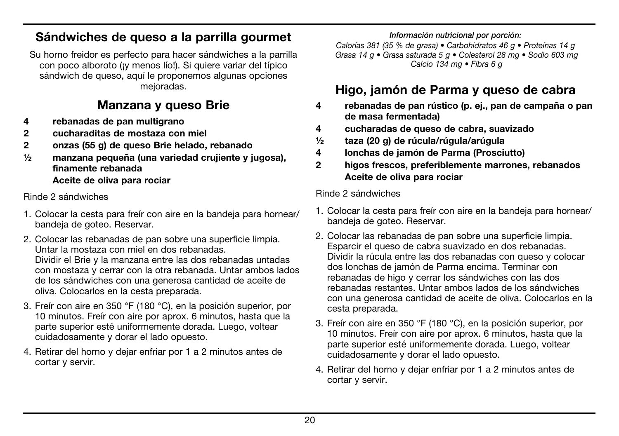## Sándwiches de queso a la parrilla gourmet

Su horno freidor es perfecto para hacer sándwiches a la parrilla con poco alboroto (¡y menos lío!). Si quiere variar del típico sándwich de queso, aquí le proponemos algunas opciones mejoradas.

### Manzana y queso Brie

- 4 rebanadas de pan multigrano
- 2 cucharaditas de mostaza con miel
- 2 onzas (55 g) de queso Brie helado, rebanado
- ½ manzana pequeña (una variedad crujiente y jugosa), finamente rebanada

Aceite de oliva para rociar

Rinde 2 sándwiches

- 1. Colocar la cesta para freír con aire en la bandeja para hornear/ bandeja de goteo. Reservar.
- 2. Colocar las rebanadas de pan sobre una superficie limpia. Untar la mostaza con miel en dos rebanadas. Dividir el Brie y la manzana entre las dos rebanadas untadas con mostaza y cerrar con la otra rebanada. Untar ambos lados de los sándwiches con una generosa cantidad de aceite de oliva. Colocarlos en la cesta preparada.
- 3. Freír con aire en 350 °F (180 °C), en la posición superior, por 10 minutos. Freír con aire por aprox. 6 minutos, hasta que la parte superior esté uniformemente dorada. Luego, voltear cuidadosamente y dorar el lado opuesto.
- 4. Retirar del horno y dejar enfriar por 1 a 2 minutos antes de cortar y servir.

#### *Información nutricional por porción:*

*Calorías 381 (35 % de grasa) • Carbohidratos 46 g • Proteínas 14 g Grasa 14 g • Grasa saturada 5 g • Colesterol 28 mg • Sodio 603 mg Calcio 134 mg • Fibra 6 g*

## Higo, jamón de Parma y queso de cabra

- 4 rebanadas de pan rústico (p. ej., pan de campaña o pan de masa fermentada)
- 4 cucharadas de queso de cabra, suavizado
- ½ taza (20 g) de rúcula/rúgula/arúgula
- 4 lonchas de jamón de Parma (Prosciutto)
- 2 higos frescos, preferiblemente marrones, rebanados Aceite de oliva para rociar

#### Rinde 2 sándwiches

- 1. Colocar la cesta para freír con aire en la bandeja para hornear/ bandeja de goteo. Reservar.
- 2. Colocar las rebanadas de pan sobre una superficie limpia. Esparcir el queso de cabra suavizado en dos rebanadas. Dividir la rúcula entre las dos rebanadas con queso y colocar dos lonchas de jamón de Parma encima. Terminar con rebanadas de higo y cerrar los sándwiches con las dos rebanadas restantes. Untar ambos lados de los sándwiches con una generosa cantidad de aceite de oliva. Colocarlos en la cesta preparada.
- 3. Freír con aire en 350 °F (180 °C), en la posición superior, por 10 minutos. Freír con aire por aprox. 6 minutos, hasta que la parte superior esté uniformemente dorada. Luego, voltear cuidadosamente y dorar el lado opuesto.
- 4. Retirar del horno y dejar enfriar por 1 a 2 minutos antes de cortar y servir.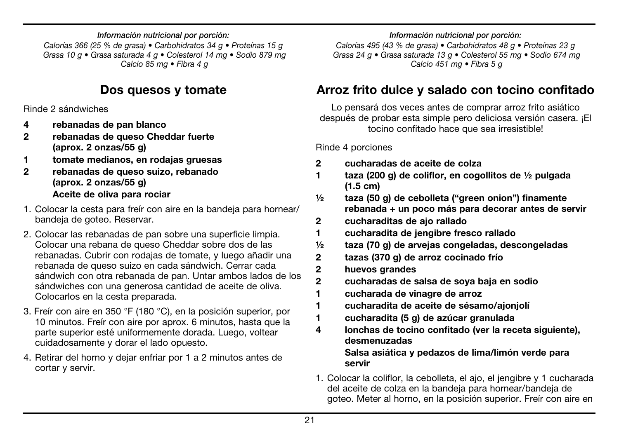#### *Información nutricional por porción:*

*Calorías 366 (25 % de grasa) • Carbohidratos 34 g • Proteínas 15 g Grasa 10 g • Grasa saturada 4 g • Colesterol 14 mg • Sodio 879 mg Calcio 85 mg • Fibra 4 g*

## Dos quesos y tomate

Rinde 2 sándwiches

- 4 rebanadas de pan blanco
- 2 rebanadas de queso Cheddar fuerte (aprox. 2 onzas/55 g)
- 1 tomate medianos, en rodajas gruesas
- 2 rebanadas de queso suizo, rebanado (aprox. 2 onzas/55 g) Aceite de oliva para rociar
- 1. Colocar la cesta para freír con aire en la bandeja para hornear/ bandeja de goteo. Reservar.
- 2. Colocar las rebanadas de pan sobre una superficie limpia. Colocar una rebana de queso Cheddar sobre dos de las rebanadas. Cubrir con rodajas de tomate, y luego añadir una rebanada de queso suizo en cada sándwich. Cerrar cada sándwich con otra rebanada de pan. Untar ambos lados de los sándwiches con una generosa cantidad de aceite de oliva. Colocarlos en la cesta preparada.
- 3. Freír con aire en 350 °F (180 °C), en la posición superior, por 10 minutos. Freír con aire por aprox. 6 minutos, hasta que la parte superior esté uniformemente dorada. Luego, voltear cuidadosamente y dorar el lado opuesto.
- 4. Retirar del horno y dejar enfriar por 1 a 2 minutos antes de cortar y servir.

*Información nutricional por porción:*

*Calorías 495 (43 % de grasa) • Carbohidratos 48 g • Proteínas 23 g Grasa 24 g • Grasa saturada 13 g • Colesterol 55 mg • Sodio 674 mg Calcio 451 mg • Fibra 5 g*

## Arroz frito dulce y salado con tocino confitado

Lo pensará dos veces antes de comprar arroz frito asiático después de probar esta simple pero deliciosa versión casera. ¡El tocino confitado hace que sea irresistible!

Rinde 4 porciones

- 2 cucharadas de aceite de colza
- 1 taza (200 g) de coliflor, en cogollitos de ½ pulgada (1.5 cm)
- ½ taza (50 g) de cebolleta ("green onion") finamente rebanada + un poco más para decorar antes de servir
- 2 cucharaditas de ajo rallado
- 1 cucharadita de jengibre fresco rallado
- ½ taza (70 g) de arvejas congeladas, descongeladas
- 2 tazas (370 g) de arroz cocinado frío
- 2 huevos grandes
- 2 cucharadas de salsa de soya baja en sodio
- 1 cucharada de vinagre de arroz
- 1 cucharadita de aceite de sésamo/ajonjolí
- 1 cucharadita (5 g) de azúcar granulada
- 4 lonchas de tocino confitado (ver la receta siguiente), desmenuzadas

#### Salsa asiática y pedazos de lima/limón verde para servir

1. Colocar la coliflor, la cebolleta, el ajo, el jengibre y 1 cucharada del aceite de colza en la bandeja para hornear/bandeja de goteo. Meter al horno, en la posición superior. Freír con aire en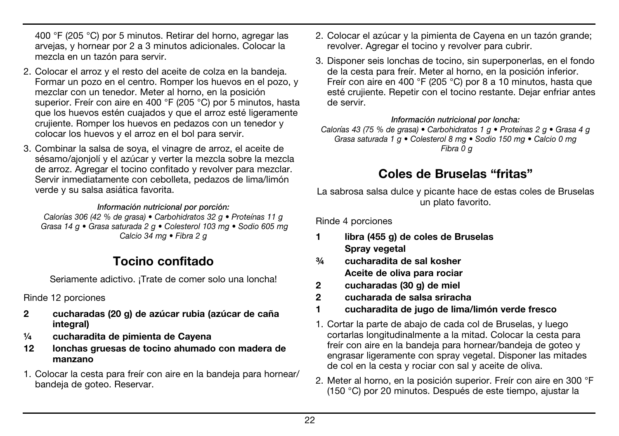400 °F (205 °C) por 5 minutos. Retirar del horno, agregar las arvejas, y hornear por 2 a 3 minutos adicionales. Colocar la mezcla en un tazón para servir.

- 2. Colocar el arroz y el resto del aceite de colza en la bandeja. Formar un pozo en el centro. Romper los huevos en el pozo, y mezclar con un tenedor. Meter al horno, en la posición superior. Freír con aire en 400 °F (205 °C) por 5 minutos, hasta que los huevos estén cuajados y que el arroz esté ligeramente crujiente. Romper los huevos en pedazos con un tenedor y colocar los huevos y el arroz en el bol para servir.
- 3. Combinar la salsa de soya, el vinagre de arroz, el aceite de sésamo/ajonjolí y el azúcar y verter la mezcla sobre la mezcla de arroz. Agregar el tocino confitado y revolver para mezclar. Servir inmediatamente con cebolleta, pedazos de lima/limón verde y su salsa asiática favorita.

#### *Información nutricional por porción:*

*Calorías 306 (42 % de grasa) • Carbohidratos 32 g • Proteínas 11 g Grasa 14 g • Grasa saturada 2 g • Colesterol 103 mg • Sodio 605 mg Calcio 34 mg • Fibra 2 g*

### Tocino confitado

Seriamente adictivo. ¡Trate de comer solo una loncha!

Rinde 12 porciones

- 2 cucharadas (20 g) de azúcar rubia (azúcar de caña integral)
- ¼ cucharadita de pimienta de Cayena
- 12 lonchas gruesas de tocino ahumado con madera de manzano
- 1. Colocar la cesta para freír con aire en la bandeja para hornear/ bandeja de goteo. Reservar.
- 2. Colocar el azúcar y la pimienta de Cayena en un tazón grande; revolver. Agregar el tocino y revolver para cubrir.
- 3. Disponer seis lonchas de tocino, sin superponerlas, en el fondo de la cesta para freír. Meter al horno, en la posición inferior. Freír con aire en 400 °F (205 °C) por 8 a 10 minutos, hasta que esté crujiente. Repetir con el tocino restante. Dejar enfriar antes de servir.

*Información nutricional por loncha:*

*Calorías 43 (75 % de grasa) • Carbohidratos 1 g • Proteínas 2 g • Grasa 4 g Grasa saturada 1 g • Colesterol 8 mg • Sodio 150 mg • Calcio 0 mg Fibra 0 g*

### Coles de Bruselas "fritas"

La sabrosa salsa dulce y picante hace de estas coles de Bruselas un plato favorito.

Rinde 4 porciones

- 1 libra (455 g) de coles de Bruselas Spray vegetal
- ¾ cucharadita de sal kosher Aceite de oliva para rociar
- 2 cucharadas (30 g) de miel
- 2 cucharada de salsa sriracha
- 1 cucharadita de jugo de lima/limón verde fresco
- 1. Cortar la parte de abajo de cada col de Bruselas, y luego cortarlas longitudinalmente a la mitad. Colocar la cesta para freír con aire en la bandeja para hornear/bandeja de goteo y engrasar ligeramente con spray vegetal. Disponer las mitades de col en la cesta y rociar con sal y aceite de oliva.
- 2. Meter al horno, en la posición superior. Freír con aire en 300 °F (150 °C) por 20 minutos. Después de este tiempo, ajustar la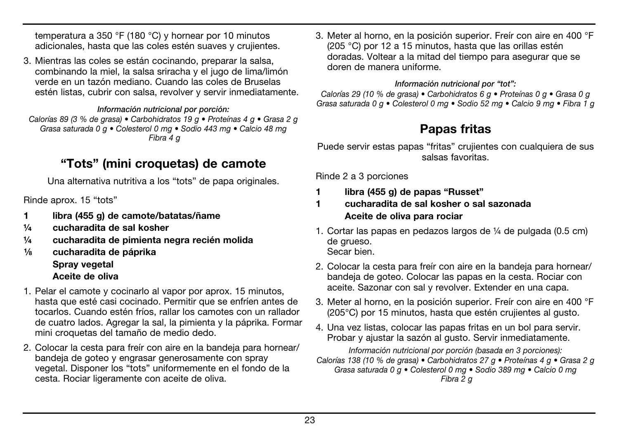temperatura a 350 °F (180 °C) y hornear por 10 minutos adicionales, hasta que las coles estén suaves y crujientes.

3. Mientras las coles se están cocinando, preparar la salsa, combinando la miel, la salsa sriracha y el jugo de lima/limón verde en un tazón mediano. Cuando las coles de Bruselas estén listas, cubrir con salsa, revolver y servir inmediatamente.

#### *Información nutricional por porción:*

*Calorías 89 (3 % de grasa) • Carbohidratos 19 g • Proteínas 4 g • Grasa 2 g Grasa saturada 0 g • Colesterol 0 mg • Sodio 443 mg • Calcio 48 mg Fibra 4 g*

## "Tots" (mini croquetas) de camote

Una alternativa nutritiva a los "tots" de papa originales.

Rinde aprox. 15 "tots"

- 1 libra (455 g) de camote/batatas/ñame
- ¼ cucharadita de sal kosher
- ¼ cucharadita de pimienta negra recién molida
- 1⁄8 cucharadita de páprika Spray vegetal Aceite de oliva
- 1. Pelar el camote y cocinarlo al vapor por aprox. 15 minutos, hasta que esté casi cocinado. Permitir que se enfríen antes de tocarlos. Cuando estén fríos, rallar los camotes con un rallador de cuatro lados. Agregar la sal, la pimienta y la páprika. Formar mini croquetas del tamaño de medio dedo.
- 2. Colocar la cesta para freír con aire en la bandeja para hornear/ bandeja de goteo y engrasar generosamente con spray vegetal. Disponer los "tots" uniformemente en el fondo de la cesta. Rociar ligeramente con aceite de oliva.

3. Meter al horno, en la posición superior. Freír con aire en 400 °F (205 °C) por 12 a 15 minutos, hasta que las orillas estén doradas. Voltear a la mitad del tiempo para asegurar que se doren de manera uniforme.

#### *Información nutricional por "tot":*

*Calorías 29 (10 % de grasa) • Carbohidratos 6 g • Proteínas 0 g • Grasa 0 g Grasa saturada 0 g • Colesterol 0 mg • Sodio 52 mg • Calcio 9 mg • Fibra 1 g*

## Papas fritas

Puede servir estas papas "fritas" crujientes con cualquiera de sus salsas favoritas.

Rinde 2 a 3 porciones

- 1 libra (455 g) de papas "Russet"
- 1 cucharadita de sal kosher o sal sazonada Aceite de oliva para rociar
- 1. Cortar las papas en pedazos largos de ¼ de pulgada (0.5 cm) de grueso. Secar bien.
- 2. Colocar la cesta para freír con aire en la bandeja para hornear/ bandeja de goteo. Colocar las papas en la cesta. Rociar con aceite. Sazonar con sal y revolver. Extender en una capa.
- 3. Meter al horno, en la posición superior. Freír con aire en 400 °F (205°C) por 15 minutos, hasta que estén crujientes al gusto.
- 4. Una vez listas, colocar las papas fritas en un bol para servir. Probar y ajustar la sazón al gusto. Servir inmediatamente.

*Información nutricional por porción (basada en 3 porciones): Calorías 138 (10 % de grasa) • Carbohidratos 27 g • Proteínas 4 g • Grasa 2 g Grasa saturada 0 g • Colesterol 0 mg • Sodio 389 mg • Calcio 0 mg Fibra 2 g*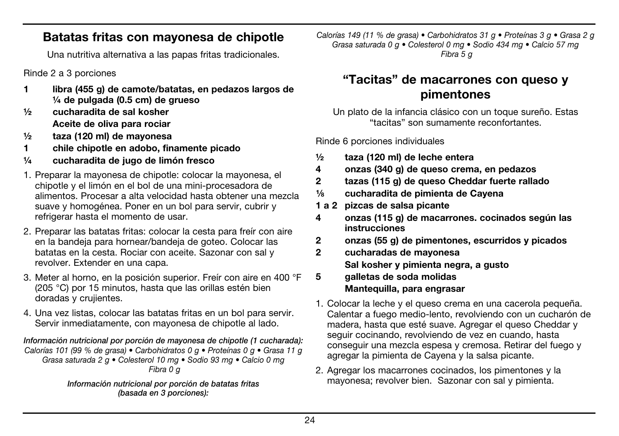### Batatas fritas con mayonesa de chipotle

Una nutritiva alternativa a las papas fritas tradicionales.

Rinde 2 a 3 porciones

- 1 libra (455 g) de camote/batatas, en pedazos largos de ¼ de pulgada (0.5 cm) de grueso
- ½ cucharadita de sal kosher Aceite de oliva para rociar
- ½ taza (120 ml) de mayonesa
- 1 chile chipotle en adobo, finamente picado
- ¼ cucharadita de jugo de limón fresco
- 1. Preparar la mayonesa de chipotle: colocar la mayonesa, el chipotle y el limón en el bol de una mini-procesadora de alimentos. Procesar a alta velocidad hasta obtener una mezcla suave y homogénea. Poner en un bol para servir, cubrir y refrigerar hasta el momento de usar.
- 2. Preparar las batatas fritas: colocar la cesta para freír con aire en la bandeja para hornear/bandeja de goteo. Colocar las batatas en la cesta. Rociar con aceite. Sazonar con sal y revolver. Extender en una capa.
- 3. Meter al horno, en la posición superior. Freír con aire en 400 °F (205 °C) por 15 minutos, hasta que las orillas estén bien doradas y crujientes.
- 4. Una vez listas, colocar las batatas fritas en un bol para servir. Servir inmediatamente, con mayonesa de chipotle al lado.

#### *Información nutricional por porción de mayonesa de chipotle (1 cucharada): Calorías 101 (99 % de grasa) • Carbohidratos 0 g • Proteínas 0 g • Grasa 11 g Grasa saturada 2 g • Colesterol 10 mg • Sodio 93 mg • Calcio 0 mg Fibra 0 g*

*Información nutricional por porción de batatas fritas (basada en 3 porciones):*

*Calorías 149 (11 % de grasa) • Carbohidratos 31 g • Proteínas 3 g • Grasa 2 g Grasa saturada 0 g • Colesterol 0 mg • Sodio 434 mg • Calcio 57 mg Fibra 5 g*

## "Tacitas" de macarrones con queso y pimentones

Un plato de la infancia clásico con un toque sureño. Estas "tacitas" son sumamente reconfortantes.

Rinde 6 porciones individuales

- ½ taza (120 ml) de leche entera
- 4 onzas (340 g) de queso crema, en pedazos
- 2 tazas (115 g) de queso Cheddar fuerte rallado
- 1/8 cucharadita de pimienta de Cayena
- 1 a 2 pizcas de salsa picante
- 4 onzas (115 g) de macarrones. cocinados según las instrucciones
- 2 onzas (55 g) de pimentones, escurridos y picados
- 2 cucharadas de mayonesa Sal kosher y pimienta negra, a gusto
- 5 galletas de soda molidas Mantequilla, para engrasar
- 1. Colocar la leche y el queso crema en una cacerola pequeña. Calentar a fuego medio-lento, revolviendo con un cucharón de madera, hasta que esté suave. Agregar el queso Cheddar y seguir cocinando, revolviendo de vez en cuando, hasta conseguir una mezcla espesa y cremosa. Retirar del fuego y agregar la pimienta de Cayena y la salsa picante.
- 2. Agregar los macarrones cocinados, los pimentones y la mayonesa; revolver bien. Sazonar con sal y pimienta.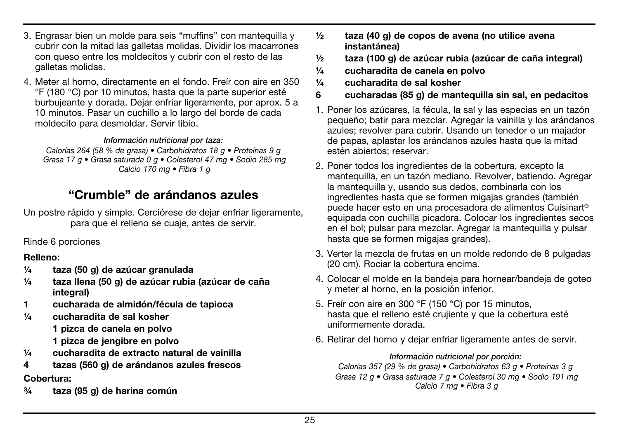- 3. Engrasar bien un molde para seis "muffins" con mantequilla y cubrir con la mitad las galletas molidas. Dividir los macarrones con queso entre los moldecitos y cubrir con el resto de las galletas molidas.
- 4. Meter al horno, directamente en el fondo. Freír con aire en 350 °F (180 °C) por 10 minutos, hasta que la parte superior esté burbujeante y dorada. Dejar enfriar ligeramente, por aprox. 5 a 10 minutos. Pasar un cuchillo a lo largo del borde de cada moldecito para desmoldar. Servir tibio.

#### *Información nutricional por taza:*

*Calorías 264 (58 % de grasa) • Carbohidratos 18 g • Proteínas 9 g Grasa 17 g • Grasa saturada 0 g • Colesterol 47 mg • Sodio 285 mg Calcio 170 mg • Fibra 1 g*

## "Crumble" de arándanos azules

Un postre rápido y simple. Cerciórese de dejar enfriar ligeramente, para que el relleno se cuaje, antes de servir.

Rinde 6 porciones

#### Relleno:

- ¼ taza (50 g) de azúcar granulada
- ¼ taza llena (50 g) de azúcar rubia (azúcar de caña integral)
- 1 cucharada de almidón/fécula de tapioca
- ¼ cucharadita de sal kosher
	- 1 pizca de canela en polvo
	- 1 pizca de jengibre en polvo
- $\frac{1}{4}$  cucharadita de extracto natural de vainilla
- 4 tazas (560 g) de arándanos azules frescos Cobertura:
- ¾ taza (95 g) de harina común
- $\frac{1}{2}$  taza (40 g) de copos de avena (no utilice avena instantánea)
- ½ taza (100 g) de azúcar rubia (azúcar de caña integral)
- ¼ cucharadita de canela en polvo
- ¼ cucharadita de sal kosher
- 6 cucharadas (85 g) de mantequilla sin sal, en pedacitos
- 1. Poner los azúcares, la fécula, la sal y las especias en un tazón pequeño; batir para mezclar. Agregar la vainilla y los arándanos azules; revolver para cubrir. Usando un tenedor o un majador de papas, aplastar los arándanos azules hasta que la mitad estén abiertos; reservar.
- 2. Poner todos los ingredientes de la cobertura, excepto la mantequilla, en un tazón mediano. Revolver, batiendo. Agregar la mantequilla y, usando sus dedos, combinarla con los ingredientes hasta que se formen migajas grandes (también puede hacer esto en una procesadora de alimentos Cuisinart® equipada con cuchilla picadora. Colocar los ingredientes secos en el bol; pulsar para mezclar. Agregar la mantequilla y pulsar hasta que se formen migajas grandes).
- 3. Verter la mezcla de frutas en un molde redondo de 8 pulgadas (20 cm). Rociar la cobertura encima.
- 4. Colocar el molde en la bandeja para hornear/bandeja de goteo y meter al horno, en la posición inferior.
- 5. Freír con aire en 300 °F (150 °C) por 15 minutos, hasta que el relleno esté crujiente y que la cobertura esté uniformemente dorada.
- 6. Retirar del horno y dejar enfriar ligeramente antes de servir.

#### *Información nutricional por porción:*

*Calorías 357 (29 % de grasa) • Carbohidratos 63 g • Proteínas 3 g Grasa 12 g • Grasa saturada 7 g • Colesterol 30 mg • Sodio 191 mg Calcio 7 mg • Fibra 3 g*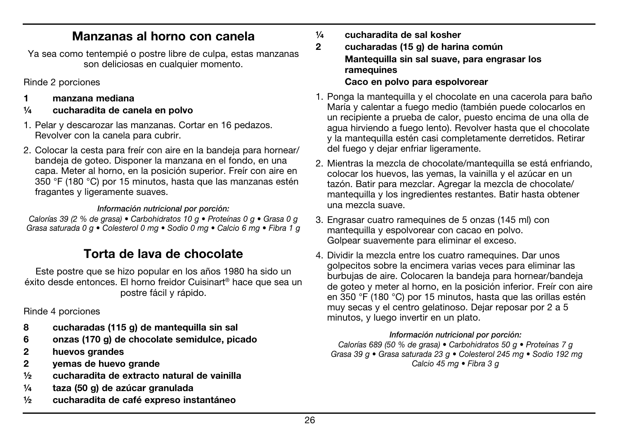### Manzanas al horno con canela

Ya sea como tentempié o postre libre de culpa, estas manzanas son deliciosas en cualquier momento.

Rinde 2 porciones

- 1 manzana mediana
- ¼ cucharadita de canela en polvo
- 1. Pelar y descarozar las manzanas. Cortar en 16 pedazos. Revolver con la canela para cubrir.
- 2. Colocar la cesta para freír con aire en la bandeja para hornear/ bandeja de goteo. Disponer la manzana en el fondo, en una capa. Meter al horno, en la posición superior. Freír con aire en 350 °F (180 °C) por 15 minutos, hasta que las manzanas estén fragantes y ligeramente suaves.

#### *Información nutricional por porción:*

*Calorías 39 (2 % de grasa) • Carbohidratos 10 g • Proteínas 0 g • Grasa 0 g Grasa saturada 0 g • Colesterol 0 mg • Sodio 0 mg • Calcio 6 mg • Fibra 1 g*

## Torta de lava de chocolate

Este postre que se hizo popular en los años 1980 ha sido un éxito desde entonces. El horno freidor Cuisinart® hace que sea un postre fácil y rápido.

Rinde 4 porciones

- 8 cucharadas (115 g) de mantequilla sin sal
- 6 onzas (170 g) de chocolate semidulce, picado
- 2 huevos grandes
- 2 yemas de huevo grande
- ½ cucharadita de extracto natural de vainilla
- ¼ taza (50 g) de azúcar granulada
- ½ cucharadita de café expreso instantáneo
- ¼ cucharadita de sal kosher
- 2 cucharadas (15 g) de harina común Mantequilla sin sal suave, para engrasar los ramequines Caco en polvo para espolvorear
- 1. Ponga la mantequilla y el chocolate en una cacerola para baño María y calentar a fuego medio (también puede colocarlos en un recipiente a prueba de calor, puesto encima de una olla de agua hirviendo a fuego lento). Revolver hasta que el chocolate y la mantequilla estén casi completamente derretidos. Retirar del fuego y dejar enfriar ligeramente.
- 2. Mientras la mezcla de chocolate/mantequilla se está enfriando, colocar los huevos, las yemas, la vainilla y el azúcar en un tazón. Batir para mezclar. Agregar la mezcla de chocolate/ mantequilla y los ingredientes restantes. Batir hasta obtener una mezcla suave.
- 3. Engrasar cuatro ramequines de 5 onzas (145 ml) con mantequilla y espolvorear con cacao en polvo. Golpear suavemente para eliminar el exceso.
- 4. Dividir la mezcla entre los cuatro ramequines. Dar unos golpecitos sobre la encimera varias veces para eliminar las burbujas de aire. Colocaren la bandeja para hornear/bandeja de goteo y meter al horno, en la posición inferior. Freír con aire en 350 °F (180 °C) por 15 minutos, hasta que las orillas estén muy secas y el centro gelatinoso. Dejar reposar por 2 a 5 minutos, y luego invertir en un plato.

#### *Información nutricional por porción:*

*Calorías 689 (50 % de grasa) • Carbohidratos 50 g • Proteínas 7 g Grasa 39 g • Grasa saturada 23 g • Colesterol 245 mg • Sodio 192 mg Calcio 45 mg • Fibra 3 g*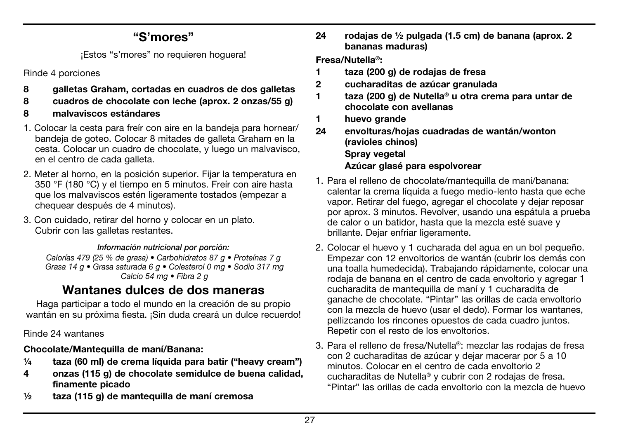## "S'mores"

¡Estos "s'mores" no requieren hoguera!

Rinde 4 porciones

- 8 galletas Graham, cortadas en cuadros de dos galletas
- 8 cuadros de chocolate con leche (aprox. 2 onzas/55 g)
- 8 malvaviscos estándares
- 1. Colocar la cesta para freír con aire en la bandeja para hornear/ bandeja de goteo. Colocar 8 mitades de galleta Graham en la cesta. Colocar un cuadro de chocolate, y luego un malvavisco, en el centro de cada galleta.
- 2. Meter al horno, en la posición superior. Fijar la temperatura en 350 °F (180 °C) y el tiempo en 5 minutos. Freír con aire hasta que los malvaviscos estén ligeramente tostados (empezar a chequear después de 4 minutos).
- 3. Con cuidado, retirar del horno y colocar en un plato. Cubrir con las galletas restantes.

#### *Información nutricional por porción:*

*Calorías 479 (25 % de grasa) • Carbohidratos 87 g • Proteínas 7 g Grasa 14 g • Grasa saturada 6 g • Colesterol 0 mg • Sodio 317 mg Calcio 54 mg • Fibra 2 g*

## Wantanes dulces de dos maneras

Haga participar a todo el mundo en la creación de su propio wantán en su próxima fiesta. ¡Sin duda creará un dulce recuerdo!

Rinde 24 wantanes

#### Chocolate/Mantequilla de maní/Banana:

- ¼ taza (60 ml) de crema líquida para batir ("heavy cream")
- 4 onzas (115 g) de chocolate semidulce de buena calidad, finamente picado
- ½ taza (115 g) de mantequilla de maní cremosa

24 rodajas de ½ pulgada (1.5 cm) de banana (aprox. 2 bananas maduras)

Fresa/Nutella®:

- 1 taza (200 g) de rodajas de fresa
- 2 cucharaditas de azúcar granulada
- 1 taza (200 g) de Nutella® u otra crema para untar de chocolate con avellanas
- 1 huevo grande
- 24 envolturas/hojas cuadradas de wantán/wonton (ravioles chinos) Spray vegetal Azúcar glasé para espolvorear
- 1. Para el relleno de chocolate/mantequilla de maní/banana: calentar la crema líquida a fuego medio-lento hasta que eche vapor. Retirar del fuego, agregar el chocolate y dejar reposar por aprox. 3 minutos. Revolver, usando una espátula a prueba de calor o un batidor, hasta que la mezcla esté suave y brillante. Dejar enfriar ligeramente.
- 2. Colocar el huevo y 1 cucharada del agua en un bol pequeño. Empezar con 12 envoltorios de wantán (cubrir los demás con una toalla humedecida). Trabajando rápidamente, colocar una rodaja de banana en el centro de cada envoltorio y agregar 1 cucharadita de mantequilla de maní y 1 cucharadita de ganache de chocolate. "Pintar" las orillas de cada envoltorio con la mezcla de huevo (usar el dedo). Formar los wantanes, pellizcando los rincones opuestos de cada cuadro juntos. Repetir con el resto de los envoltorios.
- 3. Para el relleno de fresa/Nutella®: mezclar las rodajas de fresa con 2 cucharaditas de azúcar y dejar macerar por 5 a 10 minutos. Colocar en el centro de cada envoltorio 2 cucharaditas de Nutella® y cubrir con 2 rodajas de fresa. "Pintar" las orillas de cada envoltorio con la mezcla de huevo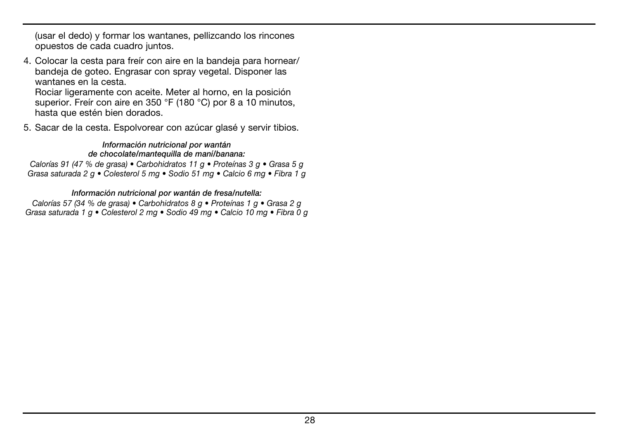(usar el dedo) y formar los wantanes, pellizcando los rincones opuestos de cada cuadro juntos.

4. Colocar la cesta para freír con aire en la bandeja para hornear/ bandeja de goteo. Engrasar con spray vegetal. Disponer las wantanes en la cesta

Rociar ligeramente con aceite. Meter al horno, en la posición superior. Freír con aire en 350 °F (180 °C) por 8 a 10 minutos, hasta que estén bien dorados.

5. Sacar de la cesta. Espolvorear con azúcar glasé y servir tibios.

#### *Información nutricional por wantán*

#### *de chocolate/mantequilla de maní/banana:*

*Calorías 91 (47 % de grasa) • Carbohidratos 11 g • Proteínas 3 g • Grasa 5 g Grasa saturada 2 g • Colesterol 5 mg • Sodio 51 mg • Calcio 6 mg • Fibra 1 g*

#### *Información nutricional por wantán de fresa/nutella:*

*Calorías 57 (34 % de grasa) • Carbohidratos 8 g • Proteínas 1 g • Grasa 2 g Grasa saturada 1 g • Colesterol 2 mg • Sodio 49 mg • Calcio 10 mg • Fibra 0 g*